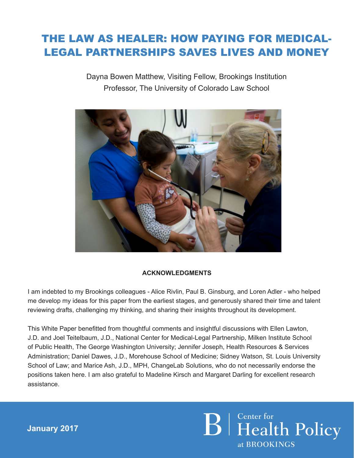### THE LAW AS HEALER: HOW PAYING FOR MEDICAL-LEGAL PARTNERSHIPS SAVES LIVES AND MONEY

Dayna Bowen Matthew, Visiting Fellow, Brookings Institution Professor, The University of Colorado Law School



#### **ACKNOWLEDGMENTS**

I am indebted to my Brookings colleagues - Alice Rivlin, Paul B. Ginsburg, and Loren Adler - who helped me develop my ideas for this paper from the earliest stages, and generously shared their time and talent reviewing drafts, challenging my thinking, and sharing their insights throughout its development.

This White Paper benefitted from thoughtful comments and insightful discussions with Ellen Lawton, J.D. and Joel Teitelbaum, J.D., National Center for Medical-Legal Partnership, Milken Institute School of Public Health, The George Washington University; Jennifer Joseph, Health Resources & Services Administration; Daniel Dawes, J.D., Morehouse School of Medicine; Sidney Watson, St. Louis University School of Law; and Marice Ash, J.D., MPH, ChangeLab Solutions, who do not necessarily endorse the positions taken here. I am also grateful to Madeline Kirsch and Margaret Darling for excellent research assistance.

> **B** | Genter for **Policy** at BROOKINGS

**January 2017**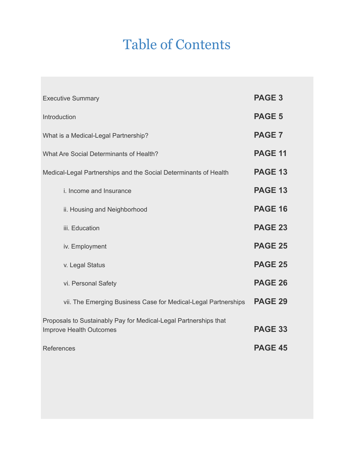### Table of Contents

| <b>Executive Summary</b>                                         | <b>PAGE 3</b>  |
|------------------------------------------------------------------|----------------|
| Introduction                                                     | <b>PAGE 5</b>  |
| What is a Medical-Legal Partnership?                             | <b>PAGE 7</b>  |
| What Are Social Determinants of Health?                          | <b>PAGE 11</b> |
| Medical-Legal Partnerships and the Social Determinants of Health | <b>PAGE 13</b> |
| i. Income and Insurance                                          | <b>PAGE 13</b> |
| ii. Housing and Neighborhood                                     | <b>PAGE 16</b> |
| iii. Education                                                   | <b>PAGE 23</b> |
| iv. Employment                                                   | <b>PAGE 25</b> |
| v. Legal Status                                                  | <b>PAGE 25</b> |
| vi. Personal Safety                                              | <b>PAGE 26</b> |
| vii. The Emerging Business Case for Medical-Legal Partnerships   | <b>PAGE 29</b> |
| Proposals to Sustainably Pay for Medical-Legal Partnerships that |                |
| Improve Health Outcomes                                          | <b>PAGE 33</b> |
| <b>References</b>                                                | <b>PAGE 45</b> |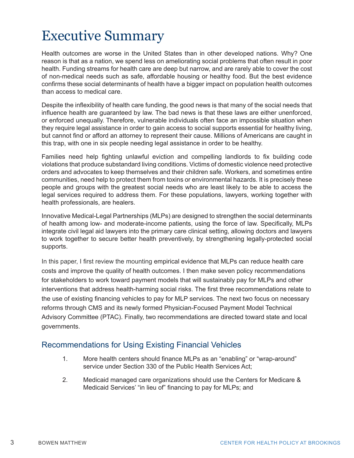### Executive Summary

Health outcomes are worse in the United States than in other developed nations. Why? One reason is that as a nation, we spend less on ameliorating social problems that often result in poor health. Funding streams for health care are deep but narrow, and are rarely able to cover the cost of non-medical needs such as safe, affordable housing or healthy food. But the best evidence confirms these social determinants of health have a bigger impact on population health outcomes than access to medical care.

Despite the inflexibility of health care funding, the good news is that many of the social needs that influence health are guaranteed by law. The bad news is that these laws are either unenforced, or enforced unequally. Therefore, vulnerable individuals often face an impossible situation when they require legal assistance in order to gain access to social supports essential for healthy living, but cannot find or afford an attorney to represent their cause. Millions of Americans are caught in this trap, with one in six people needing legal assistance in order to be healthy.

Families need help fighting unlawful eviction and compelling landlords to fix building code violations that produce substandard living conditions. Victims of domestic violence need protective orders and advocates to keep themselves and their children safe. Workers, and sometimes entire communities, need help to protect them from toxins or environmental hazards. It is precisely these people and groups with the greatest social needs who are least likely to be able to access the legal services required to address them. For these populations, lawyers, working together with health professionals, are healers.

Innovative Medical-Legal Partnerships (MLPs) are designed to strengthen the social determinants of health among low- and moderate-income patients, using the force of law. Specifically, MLPs integrate civil legal aid lawyers into the primary care clinical setting, allowing doctors and lawyers to work together to secure better health preventively, by strengthening legally-protected social supports.

In this paper, I first review the mounting empirical evidence that MLPs can reduce health care costs and improve the quality of health outcomes. I then make seven policy recommendations for stakeholders to work toward payment models that will sustainably pay for MLPs and other interventions that address health-harming social risks. The first three recommendations relate to the use of existing financing vehicles to pay for MLP services. The next two focus on necessary reforms through CMS and its newly formed Physician-Focused Payment Model Technical Advisory Committee (PTAC). Finally, two recommendations are directed toward state and local governments.

#### Recommendations for Using Existing Financial Vehicles

- 1. More health centers should finance MLPs as an "enabling" or "wrap-around" service under Section 330 of the Public Health Services Act;
- 2. Medicaid managed care organizations should use the Centers for Medicare & Medicaid Services' "in lieu of" financing to pay for MLPs; and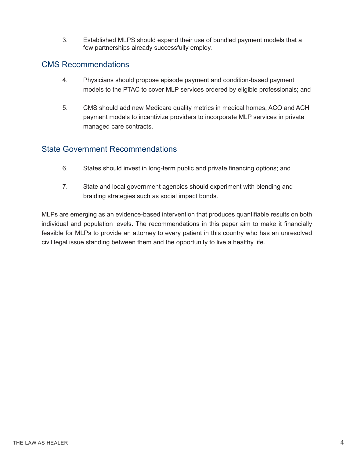3. Established MLPS should expand their use of bundled payment models that a few partnerships already successfully employ.

#### CMS Recommendations

- 4. Physicians should propose episode payment and condition-based payment models to the PTAC to cover MLP services ordered by eligible professionals; and
- 5. CMS should add new Medicare quality metrics in medical homes, ACO and ACH payment models to incentivize providers to incorporate MLP services in private managed care contracts.

#### State Government Recommendations

- 6. States should invest in long-term public and private financing options; and
- 7. State and local government agencies should experiment with blending and braiding strategies such as social impact bonds.

MLPs are emerging as an evidence-based intervention that produces quantifiable results on both individual and population levels. The recommendations in this paper aim to make it financially feasible for MLPs to provide an attorney to every patient in this country who has an unresolved civil legal issue standing between them and the opportunity to live a healthy life.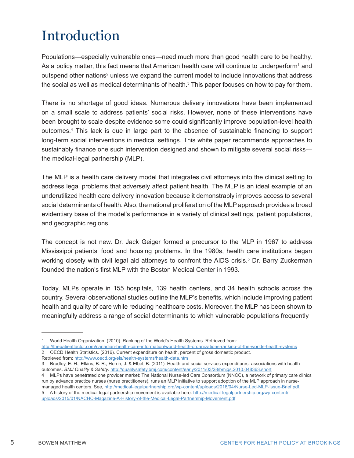## Introduction

Populations—especially vulnerable ones—need much more than good health care to be healthy. As a policy matter, this fact means that American health care will continue to underperform<sup>1</sup> and outspend other nations<sup>2</sup> unless we expand the current model to include innovations that address the social as well as medical determinants of health. $^3$  This paper focuses on how to pay for them.

There is no shortage of good ideas. Numerous delivery innovations have been implemented on a small scale to address patients' social risks. However, none of these interventions have been brought to scale despite evidence some could significantly improve population-level health outcomes.4 This lack is due in large part to the absence of sustainable financing to support long-term social interventions in medical settings. This white paper recommends approaches to sustainably finance one such intervention designed and shown to mitigate several social risks the medical-legal partnership (MLP).

The MLP is a health care delivery model that integrates civil attorneys into the clinical setting to address legal problems that adversely affect patient health. The MLP is an ideal example of an underutilized health care delivery innovation because it demonstrably improves access to several social determinants of health. Also, the national proliferation of the MLP approach provides a broad evidentiary base of the model's performance in a variety of clinical settings, patient populations, and geographic regions.

The concept is not new. Dr. Jack Geiger formed a precursor to the MLP in 1967 to address Mississippi patients' food and housing problems. In the 1980s, health care institutions began working closely with civil legal aid attorneys to confront the AIDS crisis.<sup>5</sup> Dr. Barry Zuckerman founded the nation's first MLP with the Boston Medical Center in 1993.

Today, MLPs operate in 155 hospitals, 139 health centers, and 34 health schools across the country. Several observational studies outline the MLP's benefits, which include improving patient health and quality of care while reducing healthcare costs. Moreover, the MLP has been shown to meaningfully address a range of social determinants to which vulnerable populations frequently

3 Bradley, E. H., Elkins, B. R., Herrin, J. & Elbel, B. (2011). Health and social services expenditures: associations with health outcomes. *BMJ Quality & Safety*. http://qualitysafety.bmj.com/content/early/2011/03/28/bmjqs.2010.048363.short

<sup>1</sup> World Health Organization. (2010). Ranking of the World's Health Systems. Retrieved from:

http://thepatientfactor.com/canadian-health-care-information/world-health-organizations-ranking-of-the-worlds-health-systems 2 OECD Health Statistics. (2016). Current expenditure on health, percent of gross domestic product. Retrieved from: http://www.oecd.org/els/health-systems/health-data.htm

<sup>4</sup> MLPs have penetrated one provider market: The National Nurse-led Care Consortium (NNCC), a network of primary care clinics run by advance practice nurses (nurse practitioners), runs an MLP initiative to support adoption of the MLP approach in nursemanaged health centers. See, http://medical-legalpartnership.org/wp-content/uploads/2016/04/Nurse-Led-MLP-Issue-Brief.pdf. 5 A history of the medical legal partnership movement is available here: http://medical-legalpartnership.org/wp-content/ uploads/2015/01/NACHC-Magazine-A-History-of-the-Medical-Legal-Partnership-Movement.pdf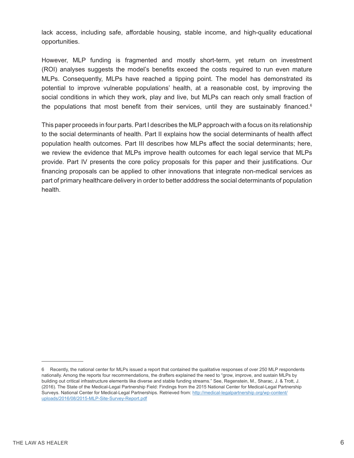lack access, including safe, affordable housing, stable income, and high-quality educational opportunities.

However, MLP funding is fragmented and mostly short-term, yet return on investment (ROI) analyses suggests the model's benefits exceed the costs required to run even mature MLPs. Consequently, MLPs have reached a tipping point. The model has demonstrated its potential to improve vulnerable populations' health, at a reasonable cost, by improving the social conditions in which they work, play and live, but MLPs can reach only small fraction of the populations that most benefit from their services, until they are sustainably financed.<sup>6</sup>

This paper proceeds in four parts. Part I describes the MLP approach with a focus on its relationship to the social determinants of health. Part II explains how the social determinants of health affect population health outcomes. Part III describes how MLPs affect the social determinants; here, we review the evidence that MLPs improve health outcomes for each legal service that MLPs provide. Part IV presents the core policy proposals for this paper and their justifications. Our financing proposals can be applied to other innovations that integrate non-medical services as part of primary healthcare delivery in order to better adddress the social determinants of population health.

<sup>6</sup> Recently, the national center for MLPs issued a report that contained the qualitative responses of over 250 MLP respondents nationally. Among the reports four recommendations, the drafters explained the need to "grow, improve, and sustain MLPs by building out critical infrastructure elements like diverse and stable funding streams." See, Regenstein, M., Sharac, J. & Trott, J. (2016). The State of the Medical-Legal Partnership Field: Findings from the 2015 National Center for Medical-Legal Partnership Surveys. National Center for Medical-Legal Partnerships. Retrieved from: http://medical-legalpartnership.org/wp-content/ uploads/2016/08/2015-MLP-Site-Survey-Report.pdf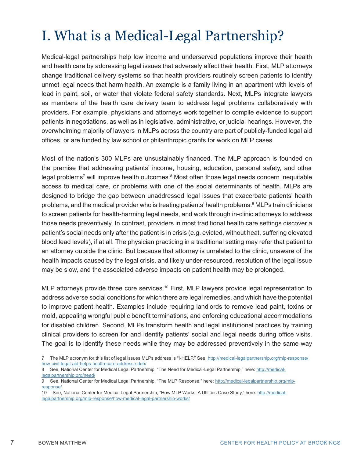# I. What is a Medical-Legal Partnership?

Medical-legal partnerships help low income and underserved populations improve their health and health care by addressing legal issues that adversely affect their health. First, MLP attorneys change traditional delivery systems so that health providers routinely screen patients to identify unmet legal needs that harm health. An example is a family living in an apartment with levels of lead in paint, soil, or water that violate federal safety standards. Next, MLPs integrate lawyers as members of the health care delivery team to address legal problems collaboratively with providers. For example, physicians and attorneys work together to compile evidence to support patients in negotiations, as well as in legislative, administrative, or judicial hearings. However, the overwhelming majority of lawyers in MLPs across the country are part of publicly-funded legal aid offices, or are funded by law school or philanthropic grants for work on MLP cases.

Most of the nation's 300 MLPs are unsustainably financed. The MLP approach is founded on the premise that addressing patients' income, housing, education, personal safety, and other legal problems<sup>7</sup> will improve health outcomes.<sup>8</sup> Most often those legal needs concern inequitable access to medical care, or problems with one of the social determinants of health. MLPs are designed to bridge the gap between unaddressed legal issues that exacerbate patients' health problems, and the medical provider who is treating patients' health problems.<sup>9</sup> MLPs train clinicians to screen patients for health-harming legal needs, and work through in-clinic attorneys to address those needs preventively. In contrast, providers in most traditional health care settings discover a patient's social needs only after the patient is in crisis (e.g. evicted, without heat, suffering elevated blood lead levels), if at all. The physician practicing in a traditional setting may refer that patient to an attorney outside the clinic. But because that attorney is unrelated to the clinic, unaware of the health impacts caused by the legal crisis, and likely under-resourced, resolution of the legal issue may be slow, and the associated adverse impacts on patient health may be prolonged.

MLP attorneys provide three core services.<sup>10</sup> First, MLP lawyers provide legal representation to address adverse social conditions for which there are legal remedies, and which have the potential to improve patient health. Examples include requiring landlords to remove lead paint, toxins or mold, appealing wrongful public benefit terminations, and enforcing educational accommodations for disabled children. Second, MLPs transform health and legal institutional practices by training clinical providers to screen for and identify patients' social and legal needs during office visits. The goal is to identify these needs while they may be addressed preventively in the same way

<sup>7</sup> The MLP acronym for this list of legal issues MLPs address is "I-HELP." See, http://medical-legalpartnership.org/mlp-response/ how-civil-legal-aid-helps-health-care-address-sdoh/

<sup>8</sup> See, National Center for Medical Legal Partnership, "The Need for Medical-Legal Partnership," here: http://medicallegalpartnership.org/need/

<sup>9</sup> See, National Center for Medical Legal Partnership, "The MLP Response," here: http://medical-legalpartnership.org/mlpresponse/

<sup>10</sup> See, National Center for Medical Legal Partnership, "How MLP Works: A Utilities Case Study," here: http://medicallegalpartnership.org/mlp-response/how-medical-legal-partnership-works/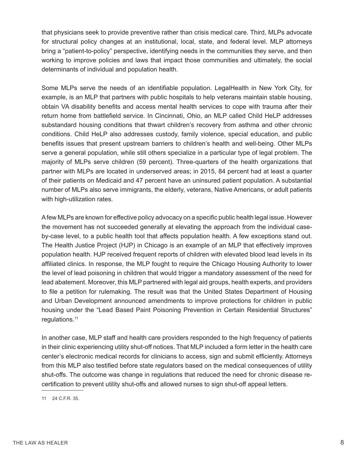that physicians seek to provide preventive rather than crisis medical care. Third, MLPs advocate for structural policy changes at an institutional, local, state, and federal level. MLP attorneys bring a "patient-to-policy" perspective, identifying needs in the communities they serve, and then working to improve policies and laws that impact those communities and ultimately, the social determinants of individual and population health.

Some MLPs serve the needs of an identifiable population. LegalHealth in New York City, for example, is an MLP that partners with public hospitals to help veterans maintain stable housing, obtain VA disability benefits and access mental health services to cope with trauma after their return home from battlefield service. In Cincinnati, Ohio, an MLP called Child HeLP addresses substandard housing conditions that thwart children's recovery from asthma and other chronic conditions. Child HeLP also addresses custody, family violence, special education, and public benefits issues that present upstream barriers to children's health and well-being. Other MLPs serve a general population, while still others specialize in a particular type of legal problem. The majority of MLPs serve children (59 percent). Three-quarters of the health organizations that partner with MLPs are located in underserved areas; in 2015, 84 percent had at least a quarter of their patients on Medicaid and 47 percent have an uninsured patient population. A substantial number of MLPs also serve immigrants, the elderly, veterans, Native Americans, or adult patients with high-utilization rates.

A few MLPs are known for effective policy advocacy on a specific public health legal issue. However the movement has not succeeded generally at elevating the approach from the individual caseby-case level, to a public health tool that affects population health. A few exceptions stand out. The Health Justice Project (HJP) in Chicago is an example of an MLP that effectively improves population health. HJP received frequent reports of children with elevated blood lead levels in its affiliated clinics. In response, the MLP fought to require the Chicago Housing Authority to lower the level of lead poisoning in children that would trigger a mandatory assessment of the need for lead abatement. Moreover, this MLP partnered with legal aid groups, health experts, and providers to file a petition for rulemaking. The result was that the United States Department of Housing and Urban Development announced amendments to improve protections for children in public housing under the "Lead Based Paint Poisoning Prevention in Certain Residential Structures" regulations.11

In another case, MLP staff and health care providers responded to the high frequency of patients in their clinic experiencing utility shut-off notices. That MLP included a form letter in the health care center's electronic medical records for clinicians to access, sign and submit efficiently. Attorneys from this MLP also testified before state regulators based on the medical consequences of utility shut-offs. The outcome was change in regulations that reduced the need for chronic disease recertification to prevent utility shut-offs and allowed nurses to sign shut-off appeal letters.

11 24 C.F.R. 35.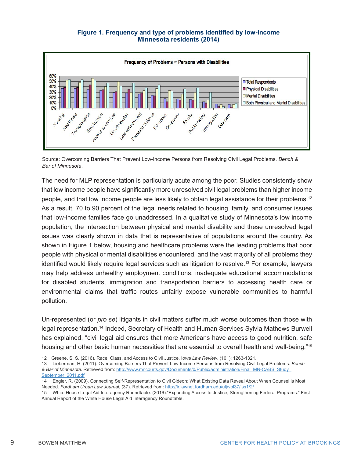#### **Figure 1. Frequency and type of problems identified by low-income Minnesota residents (2014)**



Source: Overcoming Barriers That Prevent Low-Income Persons from Resolving Civil Legal Problems. *Bench & Bar of Minnesota*.

The need for MLP representation is particularly acute among the poor. Studies consistently show that low income people have significantly more unresolved civil legal problems than higher income people, and that low income people are less likely to obtain legal assistance for their problems.12 As a result, 70 to 90 percent of the legal needs related to housing, family, and consumer issues that low-income families face go unaddressed. In a qualitative study of Minnesota's low income population, the intersection between physical and mental disability and these unresolved legal issues was clearly shown in data that is representative of populations around the country. As shown in Figure 1 below, housing and healthcare problems were the leading problems that poor people with physical or mental disabilities encountered, and the vast majority of all problems they identified would likely require legal services such as litigation to resolve.<sup>13</sup> For example, lawyers may help address unhealthy employment conditions, inadequate educational accommodations for disabled students, immigration and transportation barriers to accessing health care or environmental claims that traffic routes unfairly expose vulnerable communities to harmful pollution.

Un-represented (or *pro se*) litigants in civil matters suffer much worse outcomes than those with legal representation.14 Indeed, Secretary of Health and Human Services Sylvia Mathews Burwell has explained, "civil legal aid ensures that more Americans have access to good nutrition, safe housing and other basic human necessities that are essential to overall health and well-being."<sup>15</sup>

- 12 Greene, S. S. (2016). Race, Class, and Access to Civil Justice. I*owa Law Review*, (101): 1263-1321.
- 13 Lieberman, H. (2011). Overcoming Barriers That Prevent Low-Income Persons from Resolving Civil Legal Problems. *Bench & Bar of Minnesota*. Retrieved from: http://www.mncourts.gov/Documents/0/Public/administration/Final\_MN-CABS\_Study\_ September\_2011.pdf

<sup>14</sup> Engler, R. (2009). Connecting Self-Representation to Civil Gideon: What Existing Data Reveal About When Counsel is Most Needed. *Fordham Urban Law Journal*, (37). Retrieved from: http://ir.lawnet.fordham.edu/ulj/vol37/iss1/2/

<sup>15</sup> White House Legal Aid Interagency Roundtable. (2016)."Expanding Access to Justice, Strengthening Federal Programs." First Annual Report of the White House Legal Aid Interagency Roundtable.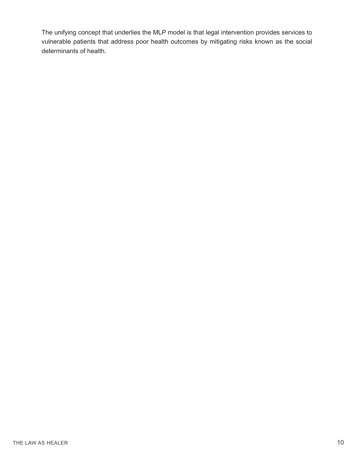The unifying concept that underlies the MLP model is that legal intervention provides services to vulnerable patients that address poor health outcomes by mitigating risks known as the social determinants of health.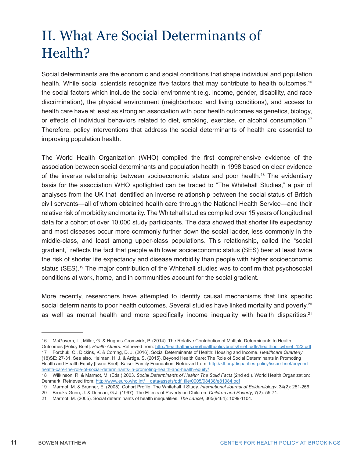## II. What Are Social Determinants of Health?

Social determinants are the economic and social conditions that shape individual and population health. While social scientists recognize five factors that may contribute to health outcomes,<sup>16</sup> the social factors which include the social environment (e.g. income, gender, disability, and race discrimination), the physical environment (neighborhood and living conditions), and access to health care have at least as strong an association with poor health outcomes as genetics, biology, or effects of individual behaviors related to diet, smoking, exercise, or alcohol consumption.<sup>17</sup> Therefore, policy interventions that address the social determinants of health are essential to improving population health.

The World Health Organization (WHO) compiled the first comprehensive evidence of the association between social determinants and population health in 1998 based on clear evidence of the inverse relationship between socioeconomic status and poor health.18 The evidentiary basis for the association WHO spotlighted can be traced to "The Whitehall Studies," a pair of analyses from the UK that identified an inverse relationship between the social status of British civil servants—all of whom obtained health care through the National Health Service—and their relative risk of morbidity and mortality. The Whitehall studies compiled over 15 years of longitudinal data for a cohort of over 10,000 study participants. The data showed that shorter life expectancy and most diseases occur more commonly further down the social ladder, less commonly in the middle-class, and least among upper-class populations. This relationship, called the "social gradient," reflects the fact that people with lower socioeconomic status (SES) bear at least twice the risk of shorter life expectancy and disease morbidity than people with higher socioeconomic status (SES).<sup>19</sup> The major contribution of the Whitehall studies was to confirm that psychosocial conditions at work, home, and in communities account for the social gradient.

More recently, researchers have attempted to identify causal mechanisms that link specific social determinants to poor health outcomes. Several studies have linked mortality and poverty,<sup>20</sup> as well as mental health and more specifically income inequality with health disparities.<sup>21</sup>

<sup>16</sup> McGovern, L., Miller, G. & Hughes-Cromwick, P. (2014). The Relative Contribution of Multiple Determinants to Health Outcomes [Policy Brief]. *Health Affairs*. Retrieved from: http://healthaffairs.org/healthpolicybriefs/brief\_pdfs/healthpolicybrief\_123.pdf 17 Forchuk, C., Dickins, K. & Corring, D. J. (2016). Social Determinants of Health: Housing and Income. *Healthcare Quarterly*, (18)SE: 27-31. See also, Heiman, H. J. & Artiga, S. (2015). Beyond Health Care: The Role of Social Determinants in Promoting Health and Health Equity [Issue Brief]. Kaiser Family Foundation. Retrieved from: http://kff.org/disparities-policy/issue-brief/beyondhealth-care-the-role-of-social-determinants-in-promoting-health-and-health-equity/

<sup>18</sup> Wilkinson, R. & Marmot, M. (Eds.) 2003. *Social Determinants of Health: The Solid Facts* (2nd ed.). World Health Organization: Denmark. Retrieved from: http://www.euro.who.int/ data/assets/pdf\_file/0005/98438/e81384.pdf

<sup>19</sup> Marmot, M. & Brunner, E. (2005). Cohort Profile: The Whitehall II Study. *International Journal of Epidemiology*, 34(2): 251-256.

<sup>20</sup> Brooks-Gunn, J. & Duncan, G.J. (1997). The Effects of Poverty on Children. *Children and Poverty*, 7(2): 55-71.

<sup>21</sup> Marmot, M. (2005). Social determinants of health inequalities. *The Lancet*, 365(9464): 1099-1104.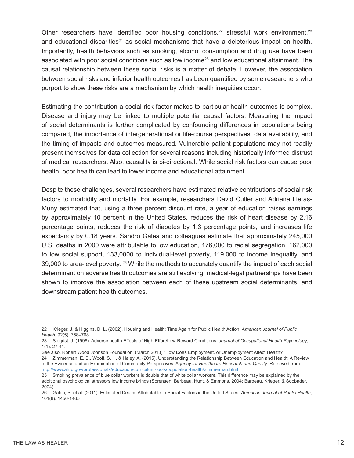Other researchers have identified poor housing conditions, $22$  stressful work environment, $23$ and educational disparities<sup>24</sup> as social mechanisms that have a deleterious impact on health. Importantly, health behaviors such as smoking, alcohol consumption and drug use have been associated with poor social conditions such as low income<sup>25</sup> and low educational attainment. The causal relationship between these social risks is a matter of debate. However, the association between social risks and inferior health outcomes has been quantified by some researchers who purport to show these risks are a mechanism by which health inequities occur.

Estimating the contribution a social risk factor makes to particular health outcomes is complex. Disease and injury may be linked to multiple potential causal factors. Measuring the impact of social determinants is further complicated by confounding differences in populations being compared, the importance of intergenerational or life-course perspectives, data availability, and the timing of impacts and outcomes measured. Vulnerable patient populations may not readily present themselves for data collection for several reasons including historically informed distrust of medical researchers. Also, causality is bi-directional. While social risk factors can cause poor health, poor health can lead to lower income and educational attainment.

Despite these challenges, several researchers have estimated relative contributions of social risk factors to morbidity and mortality. For example, researchers David Cutler and Adriana Lleras-Muny estimated that, using a three percent discount rate, a year of education raises earnings by approximately 10 percent in the United States, reduces the risk of heart disease by 2.16 percentage points, reduces the risk of diabetes by 1.3 percentage points, and increases life expectancy by 0.18 years. Sandro Galea and colleagues estimate that approximately 245,000 U.S. deaths in 2000 were attributable to low education, 176,000 to racial segregation, 162,000 to low social support, 133,0000 to individual-level poverty, 119,000 to income inequality, and 39,000 to area-level poverty. <sup>26</sup> While the methods to accurately quantify the impact of each social determinant on adverse health outcomes are still evolving, medical-legal partnerships have been shown to improve the association between each of these upstream social determinants, and downstream patient health outcomes.

<sup>22</sup> Krieger, J. & Higgins, D. L. (2002). Housing and Health: Time Again for Public Health Action. *American Journal of Public Health*, 92(5): 758–768.

<sup>23</sup> Siegrist, J. (1996). Adverse health Effects of High-Effort/Low-Reward Conditions. *Journal of Occupational Health Psychology*, 1(1): 27-41.

See also, Robert Wood Johnson Foundation, (March 2013) "How Does Employment, or Unemployment Affect Health?" 24 Zimmerman, E. B., Woolf, S. H. & Haley, A. (2015). Understanding the Relationship Between Education and Health: A Review

of the Evidence and an Examination of Community Perspectives. A*gency for Healthcare Research and Quality*. Retrieved from: http://www.ahrq.gov/professionals/education/curriculum-tools/population-health/zimmerman.html

<sup>25</sup> Smoking prevalence of blue collar workers is double that of white collar workers. This difference may be explained by the additional psychological stressors low income brings (Sorensen, Barbeau, Hunt, & Emmons, 2004; Barbeau, Krieger, & Soobader, 2004).

<sup>26</sup> Galea, S. et al. (2011). Estimated Deaths Attributable to Social Factors in the United States. *American Journal of Public Health*, 101(8): 1456-1465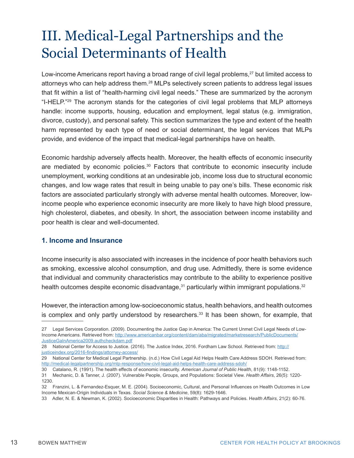## III. Medical-Legal Partnerships and the Social Determinants of Health

Low-income Americans report having a broad range of civil legal problems,<sup>27</sup> but limited access to attorneys who can help address them.<sup>28</sup> MLPs selectively screen patients to address legal issues that fit within a list of "health-harming civil legal needs." These are summarized by the acronym "I-HELP."29 The acronym stands for the categories of civil legal problems that MLP attorneys handle: income supports, housing, education and employment, legal status (e.g. immigration, divorce, custody), and personal safety. This section summarizes the type and extent of the health harm represented by each type of need or social determinant, the legal services that MLPs provide, and evidence of the impact that medical-legal partnerships have on health.

Economic hardship adversely affects health. Moreover, the health effects of economic insecurity are mediated by economic policies.<sup>30</sup> Factors that contribute to economic insecurity include unemployment, working conditions at an undesirable job, income loss due to structural economic changes, and low wage rates that result in being unable to pay one's bills. These economic risk factors are associated particularly strongly with adverse mental health outcomes. Moreover, lowincome people who experience economic insecurity are more likely to have high blood pressure, high cholesterol, diabetes, and obesity. In short, the association between income instability and poor health is clear and well-documented.

#### **1. Income and Insurance**

Income insecurity is also associated with increases in the incidence of poor health behaviors such as smoking, excessive alcohol consumption, and drug use. Admittedly, there is some evidence that individual and community characteristics may contribute to the ability to experience positive health outcomes despite economic disadvantage, $31$  particularly within immigrant populations. $32$ 

However, the interaction among low-socioeconomic status, health behaviors, and health outcomes is complex and only partly understood by researchers.<sup>33</sup> It has been shown, for example, that

<sup>27</sup> Legal Services Corporation. (2009). Documenting the Justice Gap in America: The Current Unmet Civil Legal Needs of Low-Income Americans. Retrieved from: http://www.americanbar.org/content/dam/aba/migrated/marketresearch/PublicDocuments/ JusticeGaInAmerica2009.authcheckdam.pdf

<sup>28</sup> National Center for Access to Justice. (2016). The Justice Index, 2016. Fordham Law School. Retrieved from: http:// justiceindex.org/2016-findings/attorney-access/

<sup>29</sup> National Center for Medical Legal Partnership. (n.d.) How Civil Legal Aid Helps Health Care Address SDOH. Retrieved from: http://medical-legalpartnership.org/mlp-response/how-civil-legal-aid-helps-health-care-address-sdoh/

<sup>30</sup> Catalano, R. (1991). The health effects of economic insecurity. *American Journal of Public Health*, 81(9): 1148-1152.

<sup>31</sup> Mechanic, D. & Tanner, J. (2007). Vulnerable People, Groups, and Populations: Societal View. *Health Affairs*, 26(5): 1220- 1230.

<sup>32</sup> Franzini, L. & Fernandez-Esquer, M. E. (2004). Socioeconomic, Cultural, and Personal Influences on Health Outcomes in Low Income Mexican-Origin Individuals in Texas. *Social Science & Medicine*, 59(8): 1629-1646.

<sup>33</sup> Adler, N. E. & Newman, K. (2002). Socioeconomic Disparities in Health: Pathways and Policies. H*ealth Affairs*, 21(2): 60-76.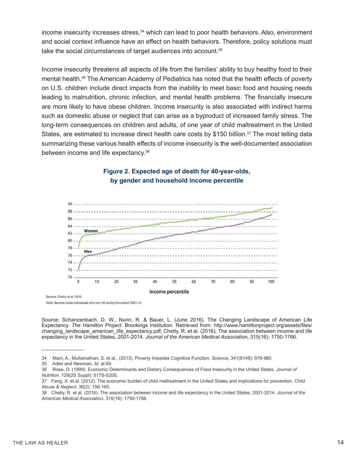income insecurity increases stress,<sup>34</sup> which can lead to poor health behaviors. Also, environment and social context influence have an effect on health behaviors. Therefore, policy solutions must take the social circumstances of target audiences into account.35

Income insecurity threatens all aspects of life from the families' ability to buy healthy food to their mental health.36 The American Academy of Pediatrics has noted that the health effects of poverty on U.S. children include direct impacts from the inability to meet basic food and housing needs leading to malnutrition, chronic infection, and mental health problems. The financially insecure are more likely to have obese children. Income insecurity is also associated with indirect harms such as domestic abuse or neglect that can arise as a byproduct of increased family stress. The long-term consequences on children and adults, of one year of child maltreatment in the United States, are estimated to increase direct health care costs by \$150 billion.<sup>37</sup> The most telling data summarizing these various health effects of income insecurity is the well-documented association between income and life expectancy.38



#### **Figure 2. Expected age of death for 40-year-olds, by gender and household income percentile**

Source: Chetty et al. 2016.

Note: Sample pools individuals who turn 40 during the period 2001-14.

Source: Schanzenbach, D. W., Nunn, R. & Bauer, L. (June 2016). The Changing Landscape of American Life Expectancy. *The Hamilton Project*. Brookings Institution. Retrieved from: http://www.hamiltonproject.org/assets/files/ changing\_landscape\_american\_life\_expectancy.pdf; Chetty, R. et al. (2016). The association between income and life expectancy in the United States, 2001-2014. *Journal of the American Medical Association*, 315(16): 1750-1766.

<sup>34</sup> Mani, A., Mullainathan, S. et al., (2013). Poverty Impedes Cognitive Function. *Science*, 341(6149): 976-980.

<sup>35</sup> Adler and Newman, *Id*. at 69.

<sup>36</sup> Rose, D. (1999). Economic Determinants and Dietary Consequences of Food Insecurity in the United States. *Journal of Nutrition*, 129(2S Suppl): 517S-520S.

<sup>37</sup> Fang, X. et al. (2012). The economic burden of child maltreatment in the United States and implications for prevention. *Child Abuse & Neglect*, 36(2): 156-165.

<sup>38</sup> Chetty, R. et al. (2016). The association between income and life expectancy in the United States, 2001-2014. *Journal of the American Medical Association*, 315(16): 1750-1766.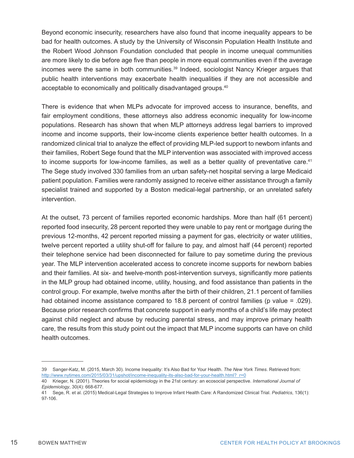Beyond economic insecurity, researchers have also found that income inequality appears to be bad for health outcomes. A study by the University of Wisconsin Population Health Institute and the Robert Wood Johnson Foundation concluded that people in income unequal communities are more likely to die before age five than people in more equal communities even if the average incomes were the same in both communities.<sup>39</sup> Indeed, sociologist Nancy Krieger argues that public health interventions may exacerbate health inequalities if they are not accessible and acceptable to economically and politically disadvantaged groups.<sup>40</sup>

There is evidence that when MLPs advocate for improved access to insurance, benefits, and fair employment conditions, these attorneys also address economic inequality for low-income populations. Research has shown that when MLP attorneys address legal barriers to improved income and income supports, their low-income clients experience better health outcomes. In a randomized clinical trial to analyze the effect of providing MLP-led support to newborn infants and their families, Robert Sege found that the MLP intervention was associated with improved access to income supports for low-income families, as well as a better quality of preventative care.<sup>41</sup> The Sege study involved 330 families from an urban safety-net hospital serving a large Medicaid patient population. Families were randomly assigned to receive either assistance through a family specialist trained and supported by a Boston medical-legal partnership, or an unrelated safety intervention.

At the outset, 73 percent of families reported economic hardships. More than half (61 percent) reported food insecurity, 28 percent reported they were unable to pay rent or mortgage during the previous 12-months, 42 percent reported missing a payment for gas, electricity or water utilities, twelve percent reported a utility shut-off for failure to pay, and almost half (44 percent) reported their telephone service had been disconnected for failure to pay sometime during the previous year. The MLP intervention accelerated access to concrete income supports for newborn babies and their families. At six- and twelve-month post-intervention surveys, significantly more patients in the MLP group had obtained income, utility, housing, and food assistance than patients in the control group. For example, twelve months after the birth of their children, 21.1 percent of families had obtained income assistance compared to 18.8 percent of control families (p value = .029). Because prior research confirms that concrete support in early months of a child's life may protect against child neglect and abuse by reducing parental stress, and may improve primary health care, the results from this study point out the impact that MLP income supports can have on child health outcomes.

<sup>39</sup> Sanger-Katz, M. (2015, March 30). Income Inequality: It's Also Bad for Your Health. *The New York Times*. Retrieved from: http://www.nytimes.com/2015/03/31/upshot/income-inequality-its-also-bad-for-your-health.html?\_r=0

<sup>40</sup> Krieger, N. (2001). Theories for social epidemiology in the 21st century: an ecosocial perspective. *International Journal of Epidemiology*, 30(4): 668-677.

<sup>41</sup> Sege, R. et al. (2015) Medical-Legal Strategies to Improve Infant Health Care: A Randomized Clinical Trial. *Pediatrics*, 136(1): 97-106.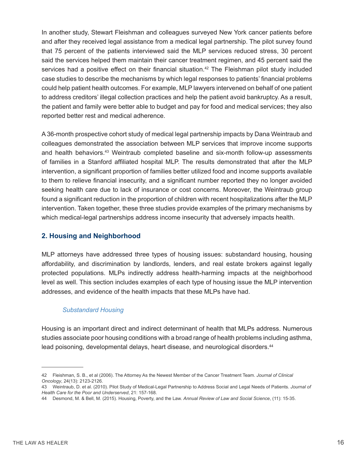In another study, Stewart Fleishman and colleagues surveyed New York cancer patients before and after they received legal assistance from a medical legal partnership. The pilot survey found that 75 percent of the patients interviewed said the MLP services reduced stress, 30 percent said the services helped them maintain their cancer treatment regimen, and 45 percent said the services had a positive effect on their financial situation.<sup>42</sup> The Fleishman pilot study included case studies to describe the mechanisms by which legal responses to patients' financial problems could help patient health outcomes. For example, MLP lawyers intervened on behalf of one patient to address creditors' illegal collection practices and help the patient avoid bankruptcy. As a result, the patient and family were better able to budget and pay for food and medical services; they also reported better rest and medical adherence.

A 36-month prospective cohort study of medical legal partnership impacts by Dana Weintraub and colleagues demonstrated the association between MLP services that improve income supports and health behaviors.<sup>43</sup> Weintraub completed baseline and six-month follow-up assessments of families in a Stanford affiliated hospital MLP. The results demonstrated that after the MLP intervention, a significant proportion of families better utilized food and income supports available to them to relieve financial insecurity, and a significant number reported they no longer avoided seeking health care due to lack of insurance or cost concerns. Moreover, the Weintraub group found a significant reduction in the proportion of children with recent hospitalizations after the MLP intervention. Taken together, these three studies provide examples of the primary mechanisms by which medical-legal partnerships address income insecurity that adversely impacts health.

#### **2. Housing and Neighborhood**

MLP attorneys have addressed three types of housing issues: substandard housing, housing affordability, and discrimination by landlords, lenders, and real estate brokers against legally protected populations. MLPs indirectly address health-harming impacts at the neighborhood level as well. This section includes examples of each type of housing issue the MLP intervention addresses, and evidence of the health impacts that these MLPs have had.

#### *Substandard Housing*

Housing is an important direct and indirect determinant of health that MLPs address. Numerous studies associate poor housing conditions with a broad range of health problems including asthma, lead poisoning, developmental delays, heart disease, and neurological disorders.<sup>44</sup>

<sup>42</sup> Fleishman, S. B., et al (2006). The Attorney As the Newest Member of the Cancer Treatment Team. *Journal of Clinical Oncology*, 24(13): 2123-2126.

<sup>43</sup> Weintraub, D. et al. (2010). Pilot Study of Medical-Legal Partnership to Address Social and Legal Needs of Patients. *Journal of Health Care for the Poor and Underserved*, 21: 157-168.

<sup>44</sup> Desmond, M. & Bell, M. (2015). Housing, Poverty, and the Law. *Annual Review of Law and Social Science*, (11): 15-35.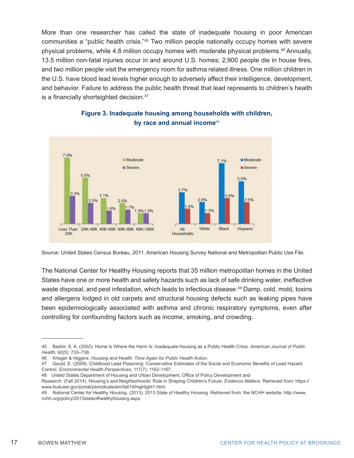More than one researcher has called the state of inadequate housing in poor American communities a "public health crisis."<sup>45</sup> Two million people nationally occupy homes with severe physical problems, while 4.8 million occupy homes with moderate physical problems.<sup>46</sup> Annually, 13.5 million non-fatal injuries occur in and around U.S. homes; 2,900 people die in house fires, and two million people visit the emergency room for asthma related illness. One million children in the U.S. have blood lead levels higher enough to adversely affect their intelligence, development, and behavior. Failure to address the public health threat that lead represents to children's health is a financially shortsighted decision.<sup>47</sup>



#### **Figure 3. Inadequate housing among households with children, by race and annual income**<sup>48</sup>

Source: United States Census Bureau, 2011. American Housing Survey National and Metropolitan Public Use File.

The National Center for Healthy Housing reports that 35 million metropolitan homes in the United States have one or more health and safety hazards such as lack of safe drinking water, ineffective waste disposal, and pest infestation, which leads to infectious disease.<sup>49</sup> Damp, cold, mold, toxins and allergens lodged in old carpets and structural housing defects such as leaking pipes have been epidemiologically associated with asthma and chronic respiratory symptoms, even after controlling for confounding factors such as income, smoking, and crowding.

<sup>45</sup> Bashir, S. A. (2002). Home Is Where the Harm Is: Inadequate Housing as a Public Health Crisis. *American Journal of Public Health*, 92(5): 733–738.

<sup>46</sup> Krieger & Higgins. *Housing and Health: Time Again for Public Health Action*.

<sup>47</sup> Gould, E. (2009). Childhood Lead Poisoning: Conservative Estimates of the Social and Economic Benefits of Lead Hazard Control. *Environmental Health Perspectives*, 117(7): 1162-1167.

<sup>48</sup> United States Department of Housing and Urban Development, Office of Policy Development and

Research. (Fall 2014). Housing's and Neighborhoods' Role in Shaping Children's Future. *Evidence Matters*. Retrieved from: https:// www.huduser.gov/portal/periodicals/em/fall14/highlight1.html

<sup>49</sup> National Center for Healthy Housing. (2013). 2013 State of Healthy Housing. Retrieved from: the NCHH website: http://www. nchh.org/policy/2013stateofhealthyhousing.aspx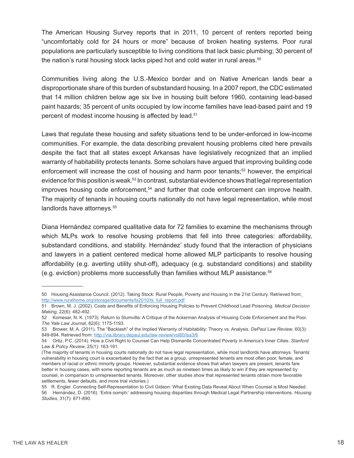The American Housing Survey reports that in 2011, 10 percent of renters reported being "uncomfortably cold for 24 hours or more" because of broken heating systems. Poor rural populations are particularly susceptible to living conditions that lack basic plumbing; 30 percent of the nation's rural housing stock lacks piped hot and cold water in rural areas.<sup>50</sup>

Communities living along the U.S.-Mexico border and on Native American lands bear a disproportionate share of this burden of substandard housing. In a 2007 report, the CDC estimated that 14 million children below age six live in housing built before 1960, containing lead-based paint hazards; 35 percent of units occupied by low income families have lead-based paint and 19 percent of modest income housing is affected by lead.<sup>51</sup>

Laws that regulate these housing and safety situations tend to be under-enforced in low-income communities. For example, the data describing prevalent housing problems cited here prevails despite the fact that all states except Arkansas have legislatively recognized that an implied warranty of habitability protects tenants. Some scholars have argued that improving building code enforcement will increase the cost of housing and harm poor tenants;<sup>52</sup> however, the empirical evidence for this position is weak.<sup>53</sup> In contrast, substantial evidence shows that legal representation improves housing code enforcement,<sup>54</sup> and further that code enforcement can improve health. The majority of tenants in housing courts nationally do not have legal representation, while most landlords have attorneys.<sup>55</sup>

Diana Hernández compared qualitative data for 72 families to examine the mechanisms through which MLPs work to resolve housing problems that fell into three categories: affordability, substandard conditions, and stability. Hernández' study found that the interaction of physicians and lawyers in a patient centered medical home allowed MLP participants to resolve housing affordability (e.g. averting utility shut-off), adequacy (e.g. substandard conditions) and stability (e.g. eviction) problems more successfully than families without MLP assistance.<sup>56</sup>

<sup>50</sup> Housing Assistance Council. (2012). Taking Stock: Rural People, Poverty and Housing in the 21st Century. Retrieved from: http://www.ruralhome.org/storage/documents/ts2010/ts\_full\_report.pdf

<sup>51</sup> Brown, M. J. (2002). Costs and Benefits of Enforcing Housing Policies to Prevent Childhood Lead Poisoning. *Medical Decision Making*, 22(6): 482-492.

<sup>52</sup> Komesar, N. K. (1973). Return to Slumville: A Critique of the Ackerman Analysis of Housing Code Enforcement and the Poor. *The Yale Law Journal*, 82(6): 1175-1193.

<sup>53</sup> Brower, M. A. (2011). The "Backlash" of the Implied Warranty of Habitability: Theory vs. Analysis. *DePaul Law Review*, 60(3): 849-894. Retrieved from: http://via.library.depaul.edu/law-review/vol60/iss3/6

<sup>54</sup> Ortiz, P.C. (2014). How a Civil Right to Counsel Can Help Dismantle Concentrated Poverty in America's Inner Cities. *Stanford Law & Policy Review*, 25(1): 163-191.

<sup>(</sup>The majority of tenants in housing courts nationally do not have legal representation, while most landlords have attorneys. Tenants' vulnerability in housing court is exacerbated by the fact that as a group, unrepresented tenants are most often poor, female, and members of racial or ethnic minority groups. However, substantial evidence shows that when lawyers are present, tenants fare better in housing cases, with some reporting tenants are as much as nineteen times as likely to win if they are represented by counsel, in comparison to unrepresented tenants. Moreover, other studies show that represented tenants obtain more favorable settlements, fewer defaults, and more trial victories.)

<sup>55</sup> R. Engler. Connecting Self-Representation to Civil Gideon: What Existing Data Reveal About When Counsel is Most Needed. 56 Hernández, D. (2016). 'Extra oomph:' addressing housing disparities through Medical Legal Partnership interventions. *Housing Studies*, 31(7): 871-890.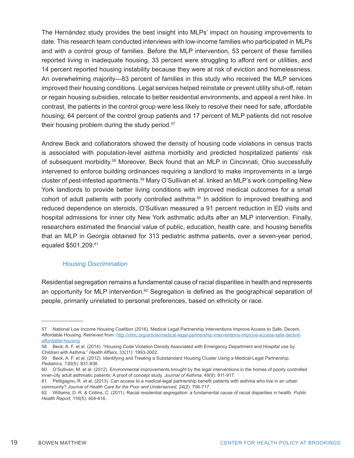The Hernández study provides the best insight into MLPs' impact on housing improvements to date. This research team conducted interviews with low-income families who participated in MLPs and with a control group of families. Before the MLP intervention, 53 percent of these families reported living in inadequate housing, 33 percent were struggling to afford rent or utilities, and 14 percent reported housing instability because they were at risk of eviction and homelessness. An overwhelming majority—83 percent of families in this study who received the MLP services improved their housing conditions. Legal services helped reinstate or prevent utility shut-off, retain or regain housing subsidies, relocate to better residential environments, and appeal a rent hike. In contrast, the patients in the control group were less likely to resolve their need for safe, affordable housing; 64 percent of the control group patients and 17 percent of MLP patients did not resolve their housing problem during the study period.<sup>57</sup>

Andrew Beck and collaborators showed the density of housing code violations in census tracts is associated with population-level asthma morbidity and predicted hospitalized patients' risk of subsequent morbidity.<sup>58</sup> Moreover, Beck found that an MLP in Cincinnati, Ohio successfully intervened to enforce building ordinances requiring a landlord to make improvements in a large cluster of pest-infested apartments.59 Mary O'Sullivan et al. linked an MLP's work compelling New York landlords to provide better living conditions with improved medical outcomes for a small cohort of adult patients with poorly controlled asthma.<sup>60</sup> In addition to improved breathing and reduced dependence on steroids, O'Sullivan measured a 91 percent reduction in ED visits and hospital admissions for inner city New York asthmatic adults after an MLP intervention. Finally, researchers estimated the financial value of public, education, health care, and housing benefits that an MLP in Georgia obtained for 313 pediatric asthma patients, over a seven-year period, equaled \$501,209.<sup>61</sup>

#### *Housing Discrimination*

Residential segregation remains a fundamental cause of racial disparities in health and represents an opportunity for MLP intervention.<sup>62</sup> Segregation is defined as the geographical separation of people, primarily unrelated to personal preferences, based on ethnicity or race.

<sup>57</sup> National Low Income Housing Coalition (2016). Medical Legal Partnership Interventions Improve Access to Safe, Decent, Affordable Housing. Retrieved from: http://nlihc.org/article/medical-legal-partnership-interventions-improve-access-safe-decentaffordable-housing

<sup>58</sup> Beck, A. F. et al. (2014). "Housing Code Violation Density Associated with Emergency Department and Hospital use by Children with Asthma." *Health Affairs*, 33(11): 1993-2002.

<sup>59</sup> Beck, A. F. et al. (2012). Identifying and Treating a Substandard Housing Cluster Using a Medical-Legal Partnership. *Pediatrics*, 130(5): 831-838.

<sup>60</sup> O'Sullivan, M. et al. (2012). Environmental improvements brought by the legal interventions in the homes of poorly controlled inner-city adult asthmatic patients: A proof of concept study. *Journal of Asthma*, 49(9): 911-917.

<sup>61</sup> Pettigagno, R. et al. (2013). Can access to a medical-legal partnership benefit patients with asthma who live in an urban community? *Journal of Health Care for the Poor and Underserved*, 24(2): 706-717.

<sup>62</sup> Williams, D. R. & Collins, C. (2011). Racial residential segregation: a fundamental cause of racial disparities in health. *Public Health Report*, 116(5): 404-416.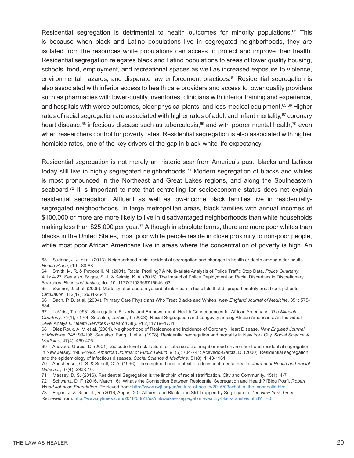Residential segregation is detrimental to health outcomes for minority populations. $63$  This is because when black and Latino populations live in segregated neighborhoods, they are isolated from the resources white populations can access to protect and improve their health. Residential segregation relegates black and Latino populations to areas of lower quality housing, schools, food, employment, and recreational spaces as well as increased exposure to violence, environmental hazards, and disparate law enforcement practices.<sup>64</sup> Residential segregation is also associated with inferior access to health care providers and access to lower quality providers such as pharmacies with lower-quality inventories, clinicians with inferior training and experience, and hospitals with worse outcomes, older physical plants, and less medical equipment.<sup>65 66</sup> Higher rates of racial segregation are associated with higher rates of adult and infant mortality,<sup>67</sup> coronary heart disease,<sup>68</sup> infectious disease such as tuberculosis,<sup>69</sup> and with poorer mental health,<sup>70</sup> even when researchers control for poverty rates. Residential segregation is also associated with higher homicide rates, one of the key drivers of the gap in black-white life expectancy.

Residential segregation is not merely an historic scar from America's past; blacks and Latinos today still live in highly segregated neighborhoods.<sup>71</sup> Modern segregation of blacks and whites is most pronounced in the Northeast and Great Lakes regions, and along the Southeastern seaboard.<sup>72</sup> It is important to note that controlling for socioeconomic status does not explain residential segregation. Affluent as well as low-income black families live in residentiallysegregated neighborhoods. In large metropolitan areas, black families with annual incomes of \$100,000 or more are more likely to live in disadvantaged neighborhoods than white households making less than \$25,000 per year.<sup>73</sup> Although in absolute terms, there are more poor whites than blacks in the United States, most poor white people reside in close proximity to non-poor people, while most poor African Americans live in areas where the concentration of poverty is high. An

<sup>63</sup> Sudano, J. J. et al. (2013). Neighborhood racial residential segregation and changes in health or death among older adults. *Health Place*, (19): 80-88.

<sup>64</sup> Smith, M. R. & Petrocelli, M. (2001). Racial Profiling? A Multivariate Analysis of Police Traffic Stop Data. *Police Quarterly*, 4(1): 4-27. See also, Briggs, S. J. & Keimig, K. A. (2016). The Impact of Police Deployment on Racial Disparities in Discretionary Searches. *Race and Justice*, doi: 10. 1177/2153368716646163

<sup>65</sup> Skinner, J. et al. (2005). Mortality after acute myocardial infarction in hospitals that disproportionately treat black patients. *Circulation*, 112(17): 2634-2641.

<sup>66</sup> Bach, P. B. et al. (2004). Primary Care Physicians Who Treat Blacks and Whites. *New England Journal of Medicine*, 351: 575- 584.

<sup>67</sup> LaVeist, T. (1993). Segregation, Poverty, and Empowerment: Health Consequences for African Americans. *The Milbank Quarterly*, 71(1), 41-64. See also, LaVeist, T. (2003). Racial Segregation and Longevity among African Americans: An Individual-Level Analysis. *Health Services Research* 38(6 Pt 2): 1719–1734.

<sup>68</sup> Diez Roux, A. V. et al. (2001). Neighborhood of Residence and Incidence of Coronary Heart Disease. *New England Journal of Medicine*, 345: 99-106. See also, Fang, J. et al. (1998). Residential segregation and mortality in New York City. *Social Science & Medicine*, 47(4): 469-476.

<sup>69</sup> Acevedo-Garcia, D. (2001). Zip code-level risk factors for tuberculosis: neighborhood environment and residential segregation in New Jersey, 1985-1992. *American Journal of Public Health*, 91(5): 734-741; Acevedo-Garcia, D. (2000). Residential segregation and the epidemiology of infectious diseases. *Social Science & Medicine*, 51(8): 1143-1161.

<sup>70</sup> Aneshensel, C. S. & Sucoff, C. A. (1996). The neighborhood context of adolescent mental health. *Journal of Health and Social Behavior*, 37(4): 293-310.

<sup>71</sup> Massey, D. S. (2016). Residential Segregation is the linchpin of racial stratification. City and Community, 15(1): 4-7.

<sup>72</sup> Schwartz, D. F. (2016, March 16). What's the Connection Between Residential Segregation and Health? [Blog Post]. *Robert Wood Johnson Foundation*. Retrieved from: http://www.rwjf.org/en/culture-of-health/2016/03/what\_s\_the\_connectio.html 73 Eligon, J. & Gebeloff, R. (2016, August 20). Affluent and Black, and Still Trapped by Segregation. *The New York Times*.

Retrieved from: http://www.nytimes.com/2016/08/21/us/milwaukee-segregation-wealthy-black-families.html?\_r=0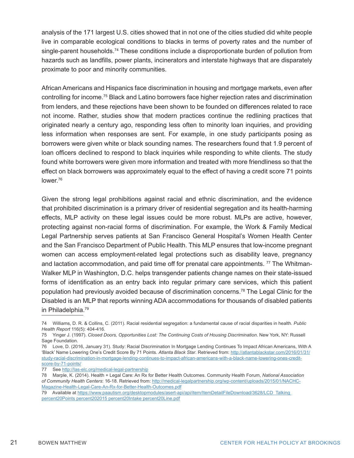analysis of the 171 largest U.S. cities showed that in not one of the cities studied did white people live in comparable ecological conditions to blacks in terms of poverty rates and the number of single-parent households.<sup>74</sup> These conditions include a disproportionate burden of pollution from hazards such as landfills, power plants, incinerators and interstate highways that are disparately proximate to poor and minority communities.

African Americans and Hispanics face discrimination in housing and mortgage markets, even after controlling for income.75 Black and Latino borrowers face higher rejection rates and discrimination from lenders, and these rejections have been shown to be founded on differences related to race not income. Rather, studies show that modern practices continue the redlining practices that originated nearly a century ago, responding less often to minority loan inquiries, and providing less information when responses are sent. For example, in one study participants posing as borrowers were given white or black sounding names. The researchers found that 1.9 percent of loan officers declined to respond to black inquiries while responding to white clients. The study found white borrowers were given more information and treated with more friendliness so that the effect on black borrowers was approximately equal to the effect of having a credit score 71 points lower<sup>76</sup>

Given the strong legal prohibitions against racial and ethnic discrimination, and the evidence that prohibited discrimination is a primary driver of residential segregation and its health-harming effects, MLP activity on these legal issues could be more robust. MLPs are active, however, protecting against non-racial forms of discrimination. For example, the Work & Family Medical Legal Partnership serves patients at San Francisco General Hospital's Women Health Center and the San Francisco Department of Public Health. This MLP ensures that low-income pregnant women can access employment-related legal protections such as disability leave, pregnancy and lactation accommodation, and paid time off for prenatal care appointments.  $77$  The Whitman-Walker MLP in Washington, D.C. helps transgender patients change names on their state-issued forms of identification as an entry back into regular primary care services, which this patient population had previously avoided because of discrimination concerns.78 The Legal Clinic for the Disabled is an MLP that reports winning ADA accommodations for thousands of disabled patients in Philadelphia.79

<sup>74</sup> Williams, D. R. & Collins, C. (2011). Racial residential segregation: a fundamental cause of racial disparities in health. *Public Health Report* 116(5): 404-416.

<sup>75</sup> Yinger J. (1997). *Closed Doors, Opportunities Lost: The Continuing Costs of Housing Discrimination*. New York, NY: Russell Sage Foundation.

<sup>76</sup> Love, D. (2016, January 31). Study: Racial Discrimination In Mortgage Lending Continues To Impact African Americans, With A 'Black' Name Lowering One's Credit Score By 71 Points. *Atlanta Black Star*. Retrieved from: http://atlantablackstar.com/2016/01/31/ study-racial-discrimination-in-mortgage-lending-continues-to-impact-african-americans-with-a-black-name-lowering-ones-creditscore-by-71-points/

<sup>77</sup> See http://las-elc.org/medical-legal-partnership

<sup>78</sup> Marple, K. (2014). Health + Legal Care: An Rx for Better Health Outcomes. Community Health Forum, *National Association of Community Health Centers*: 16-18. Retrieved from: http://medical-legalpartnership.org/wp-content/uploads/2015/01/NACHC-Magazine-Health-Legal-Care-An-Rx-for-Better-Health-Outcomes.pdf

<sup>79</sup> Available at https://www.paautism.org/desktopmodules/asert-api/api/item/ItemDetailFileDownload/3628/LCD\_Talking percent20Points percent202015 percent20Intake percent20Line.pdf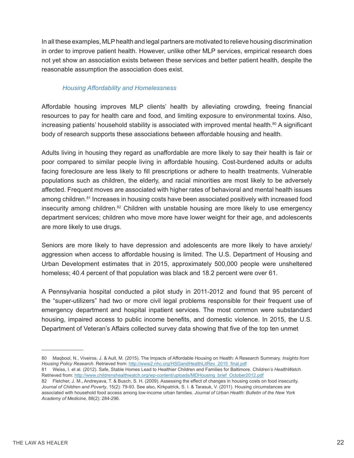In all these examples, MLP health and legal partners are motivated to relieve housing discrimination in order to improve patient health. However, unlike other MLP services, empirical research does not yet show an association exists between these services and better patient health, despite the reasonable assumption the association does exist.

#### *Housing Affordability and Homelessness*

Affordable housing improves MLP clients' health by alleviating crowding, freeing financial resources to pay for health care and food, and limiting exposure to environmental toxins. Also, increasing patients' household stability is associated with improved mental health.<sup>80</sup> A significant body of research supports these associations between affordable housing and health.

Adults living in housing they regard as unaffordable are more likely to say their health is fair or poor compared to similar people living in affordable housing. Cost-burdened adults or adults facing foreclosure are less likely to fill prescriptions or adhere to health treatments. Vulnerable populations such as children, the elderly, and racial minorities are most likely to be adversely affected. Frequent moves are associated with higher rates of behavioral and mental health issues among children.<sup>81</sup> Increases in housing costs have been associated positively with increased food insecurity among children.<sup>82</sup> Children with unstable housing are more likely to use emergency department services; children who move more have lower weight for their age, and adolescents are more likely to use drugs.

Seniors are more likely to have depression and adolescents are more likely to have anxiety/ aggression when access to affordable housing is limited. The U.S. Department of Housing and Urban Development estimates that in 2015, approximately 500,000 people were unsheltered homeless; 40.4 percent of that population was black and 18.2 percent were over 61.

A Pennsylvania hospital conducted a pilot study in 2011-2012 and found that 95 percent of the "super-utilizers" had two or more civil legal problems responsible for their frequent use of emergency department and hospital inpatient services. The most common were substandard housing, impaired access to public income benefits, and domestic violence. In 2015, the U.S. Department of Veteran's Affairs collected survey data showing that five of the top ten unmet

81 Weiss, I. et al. (2012). Safe, Stable Homes Lead to Healthier Children and Families for Baltimore. *Children's HealthWatch*. Retrieved from: http://www.childrenshealthwatch.org/wp-content/uploads/MDHousing\_brief\_October2012.pdf

<sup>80</sup> Maqbool, N., Viveiros, J. & Ault, M. (2015). The Impacts of Affordable Housing on Health: A Research Summary. *Insights from*  Housing Policy Research. Retrieved from: http://www2.nhc.org/HSGandHealthLitRev\_2015\_final.pdf

<sup>82</sup> Fletcher, J. M., Andreyava, T. & Busch, S. H. (2009). Assessing the effect of changes in housing costs on food insecurity. *Journal of Children and Poverty*, 15(2): 79-93. See also, Kirkpatrick, S. I. & Tarasuk, V. (2011). Housing circumstances are associated with household food access among low-income urban families. *Journal of Urban Health: Bulletin of the New York Academy of Medicine*, 88(2): 284-296.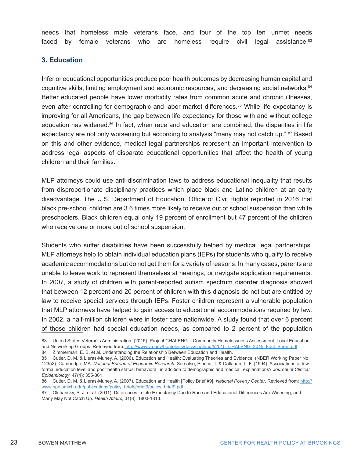needs that homeless male veterans face, and four of the top ten unmet needs faced by female veterans who are homeless require civil legal assistance.<sup>83</sup>

#### **3. Education**

Inferior educational opportunities produce poor health outcomes by decreasing human capital and cognitive skills, limiting employment and economic resources, and decreasing social networks.<sup>84</sup> Better educated people have lower morbidity rates from common acute and chronic illnesses, even after controlling for demographic and labor market differences.<sup>85</sup> While life expectancy is improving for all Americans, the gap between life expectancy for those with and without college education has widened.86 In fact, when race and education are combined, the disparities in life expectancy are not only worsening but according to analysis "many may not catch up." <sup>87</sup> Based on this and other evidence, medical legal partnerships represent an important intervention to address legal aspects of disparate educational opportunities that affect the health of young children and their families."

MLP attorneys could use anti-discrimination laws to address educational inequality that results from disproportionate disciplinary practices which place black and Latino children at an early disadvantage. The U.S. Department of Education, Office of Civil Rights reported in 2016 that black pre-school children are 3.6 times more likely to receive out of school suspension than white preschoolers. Black children equal only 19 percent of enrollment but 47 percent of the children who receive one or more out of school suspension.

Students who suffer disabilities have been successfully helped by medical legal partnerships. MLP attorneys help to obtain individual education plans (IEPs) for students who qualify to receive academic accommodations but do not get them for a variety of reasons. In many cases, parents are unable to leave work to represent themselves at hearings, or navigate application requirements. In 2007, a study of children with parent-reported autism spectrum disorder diagnosis showed that between 12 percent and 20 percent of children with this diagnosis do not but are entitled by law to receive special services through IEPs. Foster children represent a vulnerable population that MLP attorneys have helped to gain access to educational accommodations required by law. In 2002, a half-million children were in foster care nationwide. A study found that over 6 percent of those children had special education needs, as compared to 2 percent of the population

<sup>83</sup> United States Veteran's Administration. (2015). Project CHALENG – Community Homelessness Assessment, Local Education and Networking Groups. Retrieved from: http://www.va.gov/homeless/docs/chaleng/52015\_CHALENG\_2015\_Fact\_Sheet.pdf

<sup>84</sup> Zimmerman, E. B. et al. Understanding the Relationship Between Education and Health.

<sup>85</sup> Cutler, D. M. & Lleras-Muney, A. (2006). Education and Health: Evaluating Theories and Evidence. (NBER Working Paper No. 12352). Cambridge, MA: *National Bureau of Economic Research*. See also, Pincus, T. & Callahan, L. F. (1994). Associations of low formal education level and poor health status: behavioral, in addition to demographic and medical, explanations? *Journal of Clinical Epidemiology*, 47(4): 355-361.

<sup>86</sup> Cutler, D. M. & Lleras-Muney, A. (2007). Education and Health [Policy Brief #9]. *National Poverty Center*. Retrieved from: http:// www.npc.umich.edu/publications/policy\_briefs/brief9/policy\_brief9.pdf

<sup>87</sup> Olshansky, S. J. et al. (2011). Differences in Life Expectancy Due to Race and Educational Differences Are Widening, and Many May Not Catch Up. *Health Affairs*, 31(8): 1803-1813.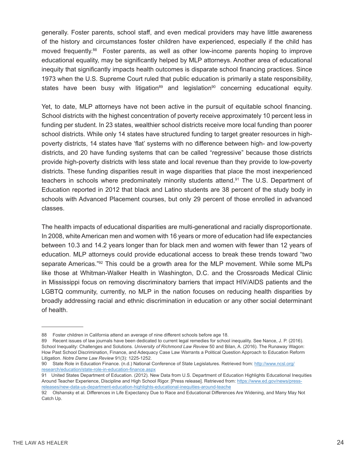generally. Foster parents, school staff, and even medical providers may have little awareness of the history and circumstances foster children have experienced, especially if the child has moved frequently.<sup>88</sup> Foster parents, as well as other low-income parents hoping to improve educational equality, may be significantly helped by MLP attorneys. Another area of educational inequity that significantly impacts health outcomes is disparate school financing practices. Since 1973 when the U.S. Supreme Court ruled that public education is primarily a state responsibility, states have been busy with litigation<sup>89</sup> and legislation<sup>90</sup> concerning educational equity.

Yet, to date, MLP attorneys have not been active in the pursuit of equitable school financing. School districts with the highest concentration of poverty receive approximately 10 percent less in funding per student. In 23 states, wealthier school districts receive more local funding than poorer school districts. While only 14 states have structured funding to target greater resources in highpoverty districts, 14 states have 'flat' systems with no difference between high- and low-poverty districts, and 20 have funding systems that can be called "regressive" because those districts provide high-poverty districts with less state and local revenue than they provide to low-poverty districts. These funding disparities result in wage disparities that place the most inexperienced teachers in schools where predominately minority students attend.<sup>91</sup> The U.S. Department of Education reported in 2012 that black and Latino students are 38 percent of the study body in schools with Advanced Placement courses, but only 29 percent of those enrolled in advanced classes.

The health impacts of educational disparities are multi-generational and racially disproportionate. In 2008, white American men and women with 16 years or more of education had life expectancies between 10.3 and 14.2 years longer than for black men and women with fewer than 12 years of education. MLP attorneys could provide educational access to break these trends toward "two separate Americas."<sup>92</sup> This could be a growth area for the MLP movement. While some MLPs like those at Whitman-Walker Health in Washington, D.C. and the Crossroads Medical Clinic in Mississippi focus on removing discriminatory barriers that impact HIV/AIDS patients and the LGBTQ community, currently, no MLP in the nation focuses on reducing health disparities by broadly addressing racial and ethnic discrimination in education or any other social determinant of health.

91 United States Department of Education. (2012). New Data from U.S. Department of Education Highlights Educational Inequities Around Teacher Experience, Discipline and High School Rigor. [Press release]. Retrieved from: https://www.ed.gov/news/pressreleases/new-data-us-department-education-highlights-educational-inequities-around-teache

<sup>88</sup> Foster children in California attend an average of nine different schools before age 18.

<sup>89</sup> Recent issues of law journals have been dedicated to current legal remedies for school inequality. See Nance, J. P. (2016). School Inequality: Challenges and Solutions. *University of Richmond Law Review* 50 and Bilan, A. (2016). The Runaway Wagon: How Past School Discrimination, Finance, and Adequacy Case Law Warrants a Political Question Approach to Education Reform Litigation. *Notre Dame Law Review* 91(3): 1225-1252.

<sup>90</sup> State Role in Education Finance. (n.d.) National Conference of State Legislatures. Retrieved from: http://www.ncsl.org/ research/education/state-role-in-education-finance.aspx

<sup>92</sup> Olshansky et al. Differences in Life Expectancy Due to Race and Educational Differences Are Widening, and Many May Not Catch Up.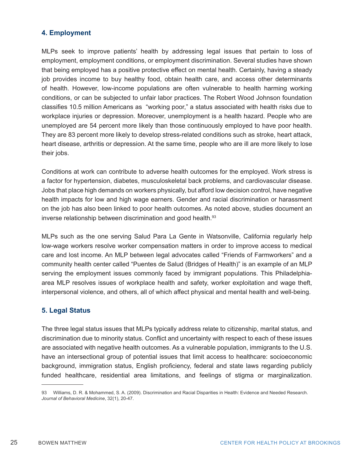#### **4. Employment**

MLPs seek to improve patients' health by addressing legal issues that pertain to loss of employment, employment conditions, or employment discrimination. Several studies have shown that being employed has a positive protective effect on mental health. Certainly, having a steady job provides income to buy healthy food, obtain health care, and access other determinants of health. However, low-income populations are often vulnerable to health harming working conditions, or can be subjected to unfair labor practices. The Robert Wood Johnson foundation classifies 10.5 million Americans as "working poor," a status associated with health risks due to workplace injuries or depression. Moreover, unemployment is a health hazard. People who are unemployed are 54 percent more likely than those continuously employed to have poor health. They are 83 percent more likely to develop stress-related conditions such as stroke, heart attack, heart disease, arthritis or depression. At the same time, people who are ill are more likely to lose their jobs.

Conditions at work can contribute to adverse health outcomes for the employed. Work stress is a factor for hypertension, diabetes, musculoskeletal back problems, and cardiovascular disease. Jobs that place high demands on workers physically, but afford low decision control, have negative health impacts for low and high wage earners. Gender and racial discrimination or harassment on the job has also been linked to poor health outcomes. As noted above, studies document an inverse relationship between discrimination and good health.<sup>93</sup>

MLPs such as the one serving Salud Para La Gente in Watsonville, California regularly help low-wage workers resolve worker compensation matters in order to improve access to medical care and lost income. An MLP between legal advocates called "Friends of Farmworkers" and a community health center called "Puentes de Salud (Bridges of Health)" is an example of an MLP serving the employment issues commonly faced by immigrant populations. This Philadelphiaarea MLP resolves issues of workplace health and safety, worker exploitation and wage theft, interpersonal violence, and others, all of which affect physical and mental health and well-being.

#### **5. Legal Status**

The three legal status issues that MLPs typically address relate to citizenship, marital status, and discrimination due to minority status. Conflict and uncertainty with respect to each of these issues are associated with negative health outcomes. As a vulnerable population, immigrants to the U.S. have an intersectional group of potential issues that limit access to healthcare: socioeconomic background, immigration status, English proficiency, federal and state laws regarding publicly funded healthcare, residential area limitations, and feelings of stigma or marginalization.

<sup>93</sup> Williams, D. R. & Mohammed, S. A. (2009). Discrimination and Racial Disparities in Health: Evidence and Needed Research. *Journal of Behavioral Medicine*, 32(1), 20-47.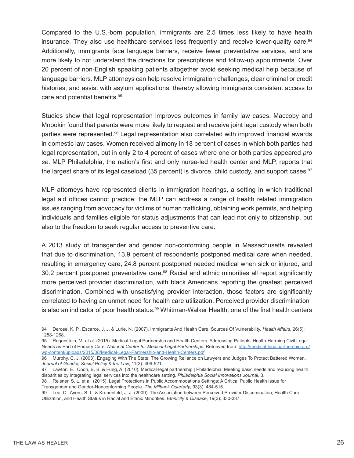Compared to the U.S.-born population, immigrants are 2.5 times less likely to have health insurance. They also use healthcare services less frequently and receive lower-quality care.<sup>94</sup> Additionally, immigrants face language barriers, receive fewer preventative services, and are more likely to not understand the directions for prescriptions and follow-up appointments. Over 20 percent of non-English speaking patients altogether avoid seeking medical help because of language barriers. MLP attorneys can help resolve immigration challenges, clear criminal or credit histories, and assist with asylum applications, thereby allowing immigrants consistent access to care and potential benefits.95

Studies show that legal representation improves outcomes in family law cases. Maccoby and Mnookin found that parents were more likely to request and receive joint legal custody when both parties were represented.<sup>96</sup> Legal representation also correlated with improved financial awards in domestic law cases. Women received alimony in 18 percent of cases in which both parties had legal representation, but in only 2 to 4 percent of cases where one or both parties appeared *pro se*. MLP Philadelphia, the nation's first and only nurse-led health center and MLP, reports that the largest share of its legal caseload (35 percent) is divorce, child custody, and support cases.<sup>97</sup>

MLP attorneys have represented clients in immigration hearings, a setting in which traditional legal aid offices cannot practice; the MLP can address a range of health related immigration issues ranging from advocacy for victims of human trafficking, obtaining work permits, and helping individuals and families eligible for status adjustments that can lead not only to citizenship, but also to the freedom to seek regular access to preventive care.

A 2013 study of transgender and gender non-conforming people in Massachusetts revealed that due to discrimination, 13.9 percent of respondents postponed medical care when needed, resulting in emergency care, 24.8 percent postponed needed medical when sick or injured, and 30.2 percent postponed preventative care.98 Racial and ethnic minorities all report significantly more perceived provider discrimination, with black Americans reporting the greatest perceived discrimination. Combined with unsatisfying provider interaction, those factors are significantly correlated to having an unmet need for health care utilization. Perceived provider discrimination is also an indicator of poor health status.<sup>99</sup> Whitman-Walker Health, one of the first health centers

<sup>94</sup> Derose, K. P., Escarce, J. J. & Lurie, N. (2007). Immigrants And Health Care: Sources Of Vulnerability. *Health Affairs*, 26(5): 1258-1268.

<sup>95</sup> Regenstein, M. et al. (2015). Medical-Legal Partnership and Health Centers: Addressing Patients' Health-Harming Civil Legal Needs as Part of Primary Care. *National Center for Medical-Legal Partnerships*. Retrieved from: http://medical-legalpartnership.org/ wp-content/uploads/2015/08/Medical-Legal-Partnership-and-Health-Centers.pdf

<sup>96</sup> Murphy, C. J. (2003). Engaging With The State: The Growing Reliance on Lawyers and Judges To Protect Battered Women. *Journal of Gender, Social Policy & the Law*, 11(2): 499-521.

<sup>97</sup> Lawton, E., Coon, B. B. & Fung, A. (2010). Medical-legal partnership | Philadelphia: Meeting basic needs and reducing health disparities by integrating legal services into the healthcare setting. *Philadelphia Social Innovations Journal*, 3.

<sup>98</sup> Reisner, S. L. et al. (2015). Legal Protections in Public Accommodations Settings: A Critical Public Health Issue for Transgender and Gender-Nonconforming People. *The Milbank Quarterly*, 93(3): 484-515.

<sup>99</sup> Lee, C., Ayers, S. L. & Kronenfeld, J. J. (2009). The Association between Perceived Provider Discrimination, Health Care Utilization, and Health Status in Racial and Ethnic Minorities. *Ethnicity & Disease*, 19(3): 330-337.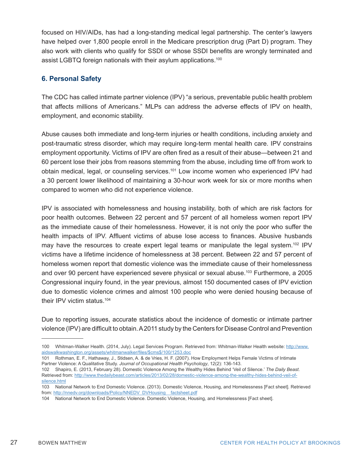focused on HIV/AIDs, has had a long-standing medical legal partnership. The center's lawyers have helped over 1,800 people enroll in the Medicare prescription drug (Part D) program. They also work with clients who qualify for SSDI or whose SSDI benefits are wrongly terminated and assist LGBTQ foreign nationals with their asylum applications.<sup>100</sup>

#### **6. Personal Safety**

The CDC has called intimate partner violence (IPV) "a serious, preventable public health problem that affects millions of Americans." MLPs can address the adverse effects of IPV on health, employment, and economic stability.

Abuse causes both immediate and long-term injuries or health conditions, including anxiety and post-traumatic stress disorder, which may require long-term mental health care. IPV constrains employment opportunity. Victims of IPV are often fired as a result of their abuse—between 21 and 60 percent lose their jobs from reasons stemming from the abuse, including time off from work to obtain medical, legal, or counseling services.<sup>101</sup> Low income women who experienced IPV had a 30 percent lower likelihood of maintaining a 30-hour work week for six or more months when compared to women who did not experience violence.

IPV is associated with homelessness and housing instability, both of which are risk factors for poor health outcomes. Between 22 percent and 57 percent of all homeless women report IPV as the immediate cause of their homelessness. However, it is not only the poor who suffer the health impacts of IPV. Affluent victims of abuse lose access to finances. Abusive husbands may have the resources to create expert legal teams or manipulate the legal system.<sup>102</sup> IPV victims have a lifetime incidence of homelessness at 38 percent. Between 22 and 57 percent of homeless women report that domestic violence was the immediate cause of their homelessness and over 90 percent have experienced severe physical or sexual abuse.103 Furthermore, a 2005 Congressional inquiry found, in the year previous, almost 150 documented cases of IPV eviction due to domestic violence crimes and almost 100 people who were denied housing because of their IPV victim status.<sup>104</sup>

Due to reporting issues, accurate statistics about the incidence of domestic or intimate partner violence (IPV) are difficult to obtain. A 2011 study by the Centers for Disease Control and Prevention

<sup>100</sup> Whitman-Walker Health. (2014, July). Legal Services Program. Retrieved from: Whitman-Walker Health website: http://www. aidswalkwashington.org/assets/whitmanwalker/files/\$cms\$/100/1253.doc

<sup>101</sup> Rothman, E. F., Hathaway, J., Stidsen, A. & de Vries, H. F. (2007). How Employment Helps Female Victims of Intimate Partner Violence: A Qualitative Study. *Journal of Occupational Health Psychology*, 12(2): 136-143.

<sup>102</sup> Shapiro, E. (2013, February 28). Domestic Violence Among the Wealthy Hides Behind 'Veil of Silence.' *The Daily Beast*. Retrieved from: http://www.thedailybeast.com/articles/2013/02/28/domestic-violence-among-the-wealthy-hides-behind-veil-ofsilence.html

<sup>103</sup> National Network to End Domestic Violence. (2013). Domestic Violence, Housing, and Homelessness [Fact sheet]. Retrieved from: http://nnedv.org/downloads/Policy/NNEDV\_DVHousing\_factsheet.pdf

<sup>104</sup> National Network to End Domestic Violence. Domestic Violence, Housing, and Homelessness [Fact sheet].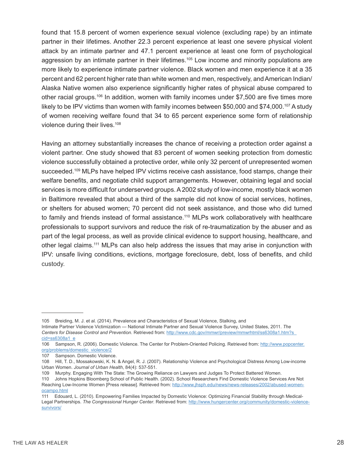found that 15.8 percent of women experience sexual violence (excluding rape) by an intimate partner in their lifetimes. Another 22.3 percent experience at least one severe physical violent attack by an intimate partner and 47.1 percent experience at least one form of psychological aggression by an intimate partner in their lifetimes.<sup>105</sup> Low income and minority populations are more likely to experience intimate partner violence. Black women and men experience it at a 35 percent and 62 percent higher rate than white women and men, respectively, and American Indian/ Alaska Native women also experience significantly higher rates of physical abuse compared to other racial groups.106 In addition, women with family incomes under \$7,500 are five times more likely to be IPV victims than women with family incomes between \$50,000 and \$74,000.<sup>107</sup> A study of women receiving welfare found that 34 to 65 percent experience some form of relationship violence during their lives.<sup>108</sup>

Having an attorney substantially increases the chance of receiving a protection order against a violent partner. One study showed that 83 percent of women seeking protection from domestic violence successfully obtained a protective order, while only 32 percent of unrepresented women succeeded.<sup>109</sup> MLPs have helped IPV victims receive cash assistance, food stamps, change their welfare benefits, and negotiate child support arrangements. However, obtaining legal and social services is more difficult for underserved groups. A 2002 study of low-income, mostly black women in Baltimore revealed that about a third of the sample did not know of social services, hotlines, or shelters for abused women; 70 percent did not seek assistance, and those who did turned to family and friends instead of formal assistance.<sup>110</sup> MLPs work collaboratively with healthcare professionals to support survivors and reduce the risk of re-traumatization by the abuser and as part of the legal process, as well as provide clinical evidence to support housing, healthcare, and other legal claims.111 MLPs can also help address the issues that may arise in conjunction with IPV: unsafe living conditions, evictions, mortgage foreclosure, debt, loss of benefits, and child custody.

<sup>105</sup> Breiding, M. J. et al. (2014). Prevalence and Characteristics of Sexual Violence, Stalking, and

Intimate Partner Violence Victimization — National Intimate Partner and Sexual Violence Survey, United States, 2011. *The Centers for Disease Control and Prevention*. Retrieved from: http://www.cdc.gov/mmwr/preview/mmwrhtml/ss6308a1.htm?s\_ cid=ss6308a1\_e

<sup>106</sup> Sampson, R. (2006). Domestic Violence. The Center for Problem-Oriented Policing. Retrieved from: http://www.popcenter. org/problems/domestic\_violence/2

<sup>107</sup> Sampson. Domestic Violence.

<sup>108</sup> Hill, T. D., Mossakowski, K. N. & Angel, R. J. (2007). Relationship Violence and Psychological Distress Among Low-income Urban Women. *Journal of Urban Health*, 84(4): 537-551.

<sup>109</sup> Murphy. Engaging With The State: The Growing Reliance on Lawyers and Judges To Protect Battered Women.

<sup>110</sup> Johns Hopkins Bloomberg School of Public Health. (2002). School Researchers Find Domestic Violence Services Are Not Reaching Low-Income Women [Press release]. Retrieved from: http://www.jhsph.edu/news/news-releases/2002/abused-womenocampo.html

<sup>111</sup> Edouard, L. (2010). Empowering Families Impacted by Domestic Violence: Optimizing Financial Stability through Medical-Legal Partnerships. *The Congressional Hunger Center*. Retrieved from: http://www.hungercenter.org/community/domestic-violencesurvivors/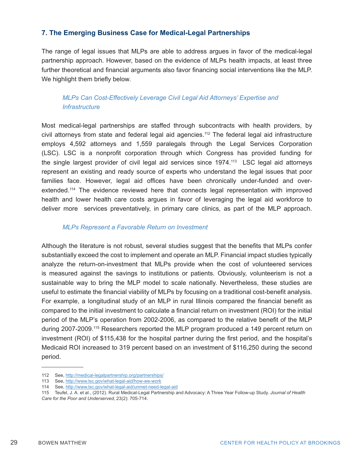#### **7. The Emerging Business Case for Medical-Legal Partnerships**

The range of legal issues that MLPs are able to address argues in favor of the medical-legal partnership approach. However, based on the evidence of MLPs health impacts, at least three further theoretical and financial arguments also favor financing social interventions like the MLP. We highlight them briefly below.

#### *MLPs Can Cost-Effectively Leverage Civil Legal Aid Attorneys' Expertise and Infrastructure*

Most medical-legal partnerships are staffed through subcontracts with health providers, by civil attorneys from state and federal legal aid agencies.112 The federal legal aid infrastructure employs 4,592 attorneys and 1,559 paralegals through the Legal Services Corporation (LSC). LSC is a nonprofit corporation through which Congress has provided funding for the single largest provider of civil legal aid services since 1974.<sup>113</sup> LSC legal aid attorneys represent an existing and ready source of experts who understand the legal issues that poor families face. However, legal aid offices have been chronically under-funded and overextended.<sup>114</sup> The evidence reviewed here that connects legal representation with improved health and lower health care costs argues in favor of leveraging the legal aid workforce to deliver more services preventatively, in primary care clinics, as part of the MLP approach.

#### *MLPs Represent a Favorable Return on Investment*

Although the literature is not robust, several studies suggest that the benefits that MLPs confer substantially exceed the cost to implement and operate an MLP. Financial impact studies typically analyze the return-on-investment that MLPs provide when the cost of volunteered services is measured against the savings to institutions or patients. Obviously, volunteerism is not a sustainable way to bring the MLP model to scale nationally. Nevertheless, these studies are useful to estimate the financial viability of MLPs by focusing on a traditional cost-benefit analysis. For example, a longitudinal study of an MLP in rural Illinois compared the financial benefit as compared to the initial investment to calculate a financial return on investment (ROI) for the initial period of the MLP's operation from 2002-2006, as compared to the relative benefit of the MLP during 2007-2009.<sup>115</sup> Researchers reported the MLP program produced a 149 percent return on investment (ROI) of \$115,438 for the hospital partner during the first period, and the hospital's Medicaid ROI increased to 319 percent based on an investment of \$116,250 during the second period.

<sup>112</sup> See, http://medical-legalpartnership.org/partnerships/

<sup>113</sup> See, http://www.lsc.gov/what-legal-aid/how-we-work

<sup>114</sup> See, http://www.lsc.gov/what-legal-aid/unmet-need-legal-aid

<sup>115</sup> Teufel, J. A. et al., (2012). Rural Medical-Legal Partnership and Advocacy: A Three Year Follow-up Study. *Journal of Health* 

*Care for the Poor and Underserved*, 23(2): 705-714.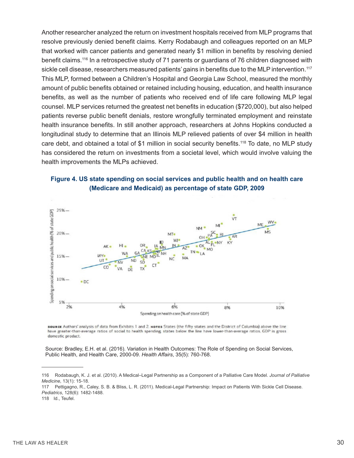Another researcher analyzed the return on investment hospitals received from MLP programs that resolve previously denied benefit claims. Kerry Rodabaugh and colleagues reported on an MLP that worked with cancer patients and generated nearly \$1 million in benefits by resolving denied benefit claims.<sup>116</sup> In a retrospective study of 71 parents or guardians of 76 children diagnosed with sickle cell disease, researchers measured patients' gains in benefits due to the MLP intervention.<sup>117</sup> This MLP, formed between a Children's Hospital and Georgia Law School, measured the monthly amount of public benefits obtained or retained including housing, education, and health insurance benefits, as well as the number of patients who received end of life care following MLP legal counsel. MLP services returned the greatest net benefits in education (\$720,000), but also helped patients reverse public benefit denials, restore wrongfully terminated employment and reinstate health insurance benefits. In still another approach, researchers at Johns Hopkins conducted a longitudinal study to determine that an Illinois MLP relieved patients of over \$4 million in health care debt, and obtained a total of \$1 million in social security benefits.<sup>118</sup> To date, no MLP study has considered the return on investments from a societal level, which would involve valuing the health improvements the MLPs achieved.





sounce Authors' analysis of data from Exhibits 1 and 2. Noves States (the fifty states and the District of Columbia) above the line have greater-than-average ratios of social to health spending states below the line have lower-than-average ratios. GDP is gross domestic product.

Source: Bradley, E.H. et al. (2016). Variation in Health Outcomes: The Role of Spending on Social Services, Public Health, and Health Care, 2000-09. *Health Affairs*, 35(5): 760-768.

117 Pettigagno, R., Caley, S. B. & Bliss, L. R. (2011). Medical-Legal Partnership: Impact on Patients With Sickle Cell Disease. *Pediatrics*, 128(6): 1482-1488.

<sup>116</sup> Rodabaugh, K. J. et al. (2010). A Medical–Legal Partnership as a Component of a Palliative Care Model. *Journal of Palliative Medicine*, 13(1): 15-18.

<sup>118</sup> Id., Teufel.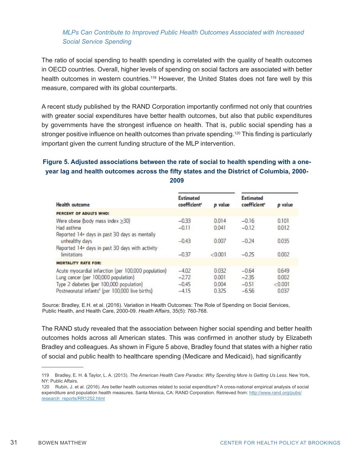#### *MLPs Can Contribute to Improved Public Health Outcomes Associated with Increased Social Service Spending*

The ratio of social spending to health spending is correlated with the quality of health outcomes in OECD countries. Overall, higher levels of spending on social factors are associated with better health outcomes in western countries.<sup>119</sup> However, the United States does not fare well by this measure, compared with its global counterparts.

A recent study published by the RAND Corporation importantly confirmed not only that countries with greater social expenditures have better health outcomes, but also that public expenditures by governments have the strongest influence on health. That is, public social spending has a stronger positive influence on health outcomes than private spending.<sup>120</sup> This finding is particularly important given the current funding structure of the MLP intervention.

#### **Figure 5. Adjusted associations between the rate of social to health spending with a oneyear lag and health outcomes across the fifty states and the District of Columbia, 2000- 2009**

| <b>Health outcome</b>                                                                                                             |                                              |                  |                                              |                |
|-----------------------------------------------------------------------------------------------------------------------------------|----------------------------------------------|------------------|----------------------------------------------|----------------|
|                                                                                                                                   | <b>Estimated</b><br>coefficient <sup>c</sup> | p value          | <b>Estimated</b><br>coefficient <sup>c</sup> | p value        |
| PERCENT OF ADULTS WHO:                                                                                                            |                                              |                  |                                              |                |
| Were obese (body mass index $\geq$ 30)                                                                                            | $-0.33$                                      | 0.014            | $-0.16$                                      | 0.101          |
| Had asthma                                                                                                                        | $-0.11$                                      | 0.041            | $-0.12$                                      | 0.012          |
| Reported 14+ days in past 30 days as mentally<br>unhealthy days<br>Reported 14+ days in past 30 days with activity<br>limitations | $-0.43$<br>$-0.37$                           | 0.007<br>< 0.001 | $-0.24$<br>$-0.25$                           | 0.035<br>0.002 |
| <b>MORTALITY RATE FOR:</b>                                                                                                        |                                              |                  |                                              |                |
| Acute myocardial infarction (per 100,000 population)                                                                              | $-4.02$                                      | 0.032            | $-0.64$                                      | 0.649          |
| Lung cancer (per 100,000 population)                                                                                              | $-2.72$                                      | 0.001            | $-2.35$                                      | 0.002          |
| Type 2 diabetes (per 100,000 population)                                                                                          | $-0.45$                                      | 0.004            | $-0.51$                                      | < 0.001        |
| Postneonatal infants <sup>®</sup> (per 100,000 live births)                                                                       | $-4.15$                                      | 0.325            | $-6.56$                                      | 0.037          |

Source: Bradley, E.H. et al. (2016). Variation in Health Outcomes: The Role of Spending on Social Services, Public Health, and Health Care, 2000-09. *Health Affairs*, 35(5): 760-768.

The RAND study revealed that the association between higher social spending and better health outcomes holds across all American states. This was confirmed in another study by Elizabeth Bradley and colleagues. As shown in Figure 5 above, Bradley found that states with a higher ratio of social and public health to healthcare spending (Medicare and Medicaid), had significantly

<sup>119</sup> Bradley, E. H. & Taylor, L. A. (2013). *The American Health Care Paradox: Why Spending More Is Getting Us Less*. New York, NY: Public Affairs.

<sup>120</sup> Rubin, J. et al. (2016). Are better health outcomes related to social expenditure? A cross-national empirical analysis of social expenditure and population health measures. Santa Monica, CA: RAND Corporation. Retrieved from: http://www.rand.org/pubs/ research\_reports/RR1252.html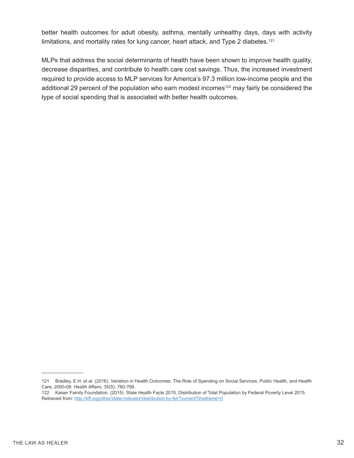better health outcomes for adult obesity, asthma, mentally unhealthy days, days with activity limitations, and mortality rates for lung cancer, heart attack, and Type 2 diabetes.<sup>121</sup>

MLPs that address the social determinants of health have been shown to improve health quality, decrease disparities, and contribute to health care cost savings. Thus, the increased investment required to provide access to MLP services for America's 97.3 million low-income people and the additional 29 percent of the population who earn modest incomes<sup>122</sup> may fairly be considered the type of social spending that is associated with better health outcomes.

<sup>121</sup> Bradley, E.H. et al. (2016). Variation in Health Outcomes: The Role of Spending on Social Services, Public Health, and Health Care, 2000-09. *Health Affairs*, 35(5): 760-768.

<sup>122</sup> Kaiser Family Foundation. (2015). State Health Facts 2015, Distribution of Total Population by Federal Poverty Level 2015. Retrieved from: http://kff.org/other/state-indicator/distribution-by-fpl/?currentTimeframe=0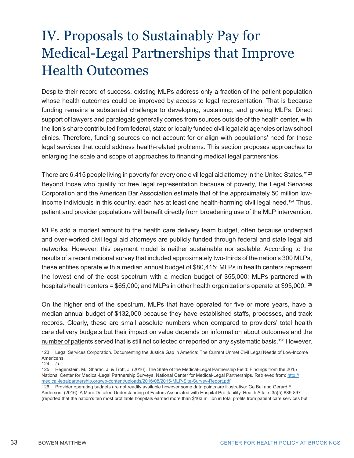## IV. Proposals to Sustainably Pay for Medical-Legal Partnerships that Improve Health Outcomes

Despite their record of success, existing MLPs address only a fraction of the patient population whose health outcomes could be improved by access to legal representation. That is because funding remains a substantial challenge to developing, sustaining, and growing MLPs. Direct support of lawyers and paralegals generally comes from sources outside of the health center, with the lion's share contributed from federal, state or locally funded civil legal aid agencies or law school clinics. Therefore, funding sources do not account for or align with populations' need for those legal services that could address health-related problems. This section proposes approaches to enlarging the scale and scope of approaches to financing medical legal partnerships.

There are 6,415 people living in poverty for every one civil legal aid attorney in the United States."<sup>123</sup> Beyond those who qualify for free legal representation because of poverty, the Legal Services Corporation and the American Bar Association estimate that of the approximately 50 million lowincome individuals in this country, each has at least one health-harming civil legal need.<sup>124</sup> Thus, patient and provider populations will benefit directly from broadening use of the MLP intervention.

MLPs add a modest amount to the health care delivery team budget, often because underpaid and over-worked civil legal aid attorneys are publicly funded through federal and state legal aid networks. However, this payment model is neither sustainable nor scalable. According to the results of a recent national survey that included approximately two-thirds of the nation's 300 MLPs, these entities operate with a median annual budget of \$80,415; MLPs in health centers represent the lowest end of the cost spectrum with a median budget of \$55,000; MLPs partnered with hospitals/health centers = \$65,000; and MLPs in other health organizations operate at \$95,000.<sup>125</sup>

On the higher end of the spectrum, MLPs that have operated for five or more years, have a median annual budget of \$132,000 because they have established staffs, processes, and track records. Clearly, these are small absolute numbers when compared to providers' total health care delivery budgets but their impact on value depends on information about outcomes and the number of patients served that is still not collected or reported on any systematic basis.<sup>126</sup> However,

<sup>123</sup> Legal Services Corporation. Documenting the Justice Gap in America: The Current Unmet Civil Legal Needs of Low-Income Americans.

<sup>124</sup> *Id*.

<sup>125</sup> Regenstein, M., Sharac, J. & Trott, J. (2016). The State of the Medical-Legal Partnership Field: Findings from the 2015 National Center for Medical-Legal Partnership Surveys. National Center for Medical-Legal Partnerships. Retrieved from: http:// medical-legalpartnership.org/wp-content/uploads/2016/08/2015-MLP-Site-Survey-Report.pdf

<sup>126</sup> Provider operating budgets are not readily available however some data points are illustrative: Ge Bai and Gerard F. Anderson, (2016). A More Detailed Understanding of Factors Associated with Hospital Profitability, Health Affairs 35(5):889-897 (reported that the nation's ten most profitable hospitals earned more than \$163 million in total profits from patient care services but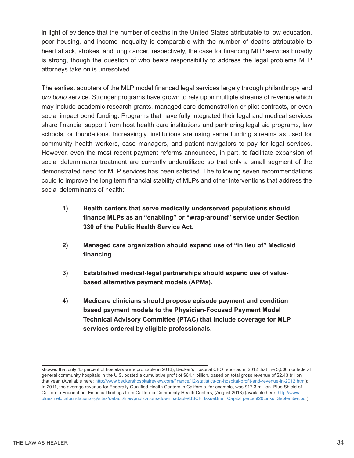in light of evidence that the number of deaths in the United States attributable to low education, poor housing, and income inequality is comparable with the number of deaths attributable to heart attack, strokes, and lung cancer, respectively, the case for financing MLP services broadly is strong, though the question of who bears responsibility to address the legal problems MLP attorneys take on is unresolved.

The earliest adopters of the MLP model financed legal services largely through philanthropy and *pro bono* service. Stronger programs have grown to rely upon multiple streams of revenue which may include academic research grants, managed care demonstration or pilot contracts, or even social impact bond funding. Programs that have fully integrated their legal and medical services share financial support from host health care institutions and partnering legal aid programs, law schools, or foundations. Increasingly, institutions are using same funding streams as used for community health workers, case managers, and patient navigators to pay for legal services. However, even the most recent payment reforms announced, in part, to facilitate expansion of social determinants treatment are currently underutilized so that only a small segment of the demonstrated need for MLP services has been satisfied. The following seven recommendations could to improve the long term financial stability of MLPs and other interventions that address the social determinants of health:

- **1) Health centers that serve medically underserved populations should finance MLPs as an "enabling" or "wrap-around" service under Section 330 of the Public Health Service Act.**
- **2) Managed care organization should expand use of "in lieu of" Medicaid financing.**
- **3) Established medical-legal partnerships should expand use of value based alternative payment models (APMs).**
- **4) Medicare clinicians should propose episode payment and condition based payment models to the Physician-Focused Payment Model Technical Advisory Committee (PTAC) that include coverage for MLP services ordered by eligible professionals.**

showed that only 45 percent of hospitals were profitable in 2013); Becker's Hospital CFO reported in 2012 that the 5,000 nonfederal general community hospitals in the U.S. posted a cumulative profit of \$64.4 billion, based on total gross revenue of \$2.43 trillion that year. (Available here: http://www.beckershospitalreview.com/finance/12-statistics-on-hospital-profit-and-revenue-in-2012.html); In 2011, the average revenue for Federally Qualified Health Centers in California, for example, was \$17.3 million. Blue Shield of California Foundation, Financial findings from California Community Health Centers, (August 2013) (available here: http://www. blueshieldcafoundation.org/sites/default/files/publications/downloadable/BSCF\_IssueBrief\_Capital percent20Links\_September.pdf)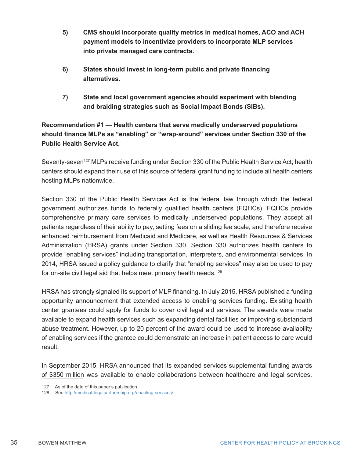- **5) CMS should incorporate quality metrics in medical homes, ACO and ACH payment models to incentivize providers to incorporate MLP services into private managed care contracts.**
- **6) States should invest in long-term public and private financing alternatives.**
- **7) State and local government agencies should experiment with blending and braiding strategies such as Social Impact Bonds (SIBs).**

**Recommendation #1 — Health centers that serve medically underserved populations should finance MLPs as "enabling" or "wrap-around" services under Section 330 of the Public Health Service Act.**

Seventy-seven<sup>127</sup> MLPs receive funding under Section 330 of the Public Health Service Act; health centers should expand their use of this source of federal grant funding to include all health centers hosting MLPs nationwide.

Section 330 of the Public Health Services Act is the federal law through which the federal government authorizes funds to federally qualified health centers (FQHCs). FQHCs provide comprehensive primary care services to medically underserved populations. They accept all patients regardless of their ability to pay, setting fees on a sliding fee scale, and therefore receive enhanced reimbursement from Medicaid and Medicare, as well as Health Resources & Services Administration (HRSA) grants under Section 330. Section 330 authorizes health centers to provide "enabling services" including transportation, interpreters, and environmental services. In 2014, HRSA issued a policy guidance to clarify that "enabling services" may also be used to pay for on-site civil legal aid that helps meet primary health needs. 128

HRSA has strongly signaled its support of MLP financing. In July 2015, HRSA published a funding opportunity announcement that extended access to enabling services funding. Existing health center grantees could apply for funds to cover civil legal aid services. The awards were made available to expand health services such as expanding dental facilities or improving substandard abuse treatment. However, up to 20 percent of the award could be used to increase availability of enabling services if the grantee could demonstrate an increase in patient access to care would result.

In September 2015, HRSA announced that its expanded services supplemental funding awards of \$350 million was available to enable collaborations between healthcare and legal services.

<sup>127</sup> As of the date of this paper's publication.

<sup>128</sup> See http://medical-legalpartnership.org/enabling-services/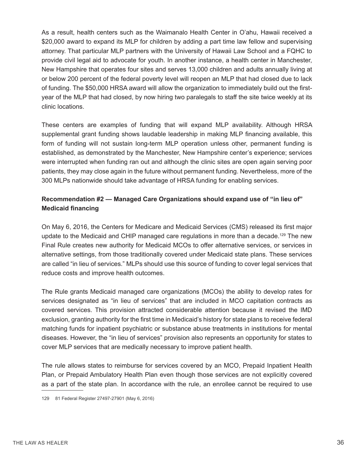As a result, health centers such as the Waimanalo Health Center in O'ahu, Hawaii received a \$20,000 award to expand its MLP for children by adding a part time law fellow and supervising attorney. That particular MLP partners with the University of Hawaii Law School and a FQHC to provide civil legal aid to advocate for youth. In another instance, a health center in Manchester, New Hampshire that operates four sites and serves 13,000 children and adults annually living at or below 200 percent of the federal poverty level will reopen an MLP that had closed due to lack of funding. The \$50,000 HRSA award will allow the organization to immediately build out the firstyear of the MLP that had closed, by now hiring two paralegals to staff the site twice weekly at its clinic locations.

These centers are examples of funding that will expand MLP availability. Although HRSA supplemental grant funding shows laudable leadership in making MLP financing available, this form of funding will not sustain long-term MLP operation unless other, permanent funding is established, as demonstrated by the Manchester, New Hampshire center's experience; services were interrupted when funding ran out and although the clinic sites are open again serving poor patients, they may close again in the future without permanent funding. Nevertheless, more of the 300 MLPs nationwide should take advantage of HRSA funding for enabling services.

#### **Recommendation #2 — Managed Care Organizations should expand use of "in lieu of" Medicaid financing**

On May 6, 2016, the Centers for Medicare and Medicaid Services (CMS) released its first major update to the Medicaid and CHIP managed care regulations in more than a decade.<sup>129</sup> The new Final Rule creates new authority for Medicaid MCOs to offer alternative services, or services in alternative settings, from those traditionally covered under Medicaid state plans. These services are called "in lieu of services." MLPs should use this source of funding to cover legal services that reduce costs and improve health outcomes.

The Rule grants Medicaid managed care organizations (MCOs) the ability to develop rates for services designated as "in lieu of services" that are included in MCO capitation contracts as covered services. This provision attracted considerable attention because it revised the IMD exclusion, granting authority for the first time in Medicaid's history for state plans to receive federal matching funds for inpatient psychiatric or substance abuse treatments in institutions for mental diseases. However, the "in lieu of services" provision also represents an opportunity for states to cover MLP services that are medically necessary to improve patient health.

The rule allows states to reimburse for services covered by an MCO, Prepaid Inpatient Health Plan, or Prepaid Ambulatory Health Plan even though those services are not explicitly covered as a part of the state plan. In accordance with the rule, an enrollee cannot be required to use

<sup>129 81</sup> Federal Register 27497-27901 (May 6, 2016)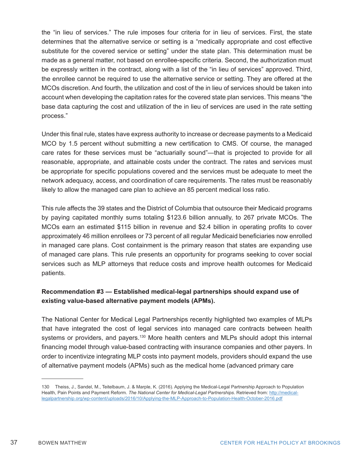the "in lieu of services." The rule imposes four criteria for in lieu of services. First, the state determines that the alternative service or setting is a "medically appropriate and cost effective substitute for the covered service or setting" under the state plan. This determination must be made as a general matter, not based on enrollee-specific criteria. Second, the authorization must be expressly written in the contract, along with a list of the "in lieu of services" approved. Third, the enrollee cannot be required to use the alternative service or setting. They are offered at the MCOs discretion. And fourth, the utilization and cost of the in lieu of services should be taken into account when developing the capitation rates for the covered state plan services. This means "the base data capturing the cost and utilization of the in lieu of services are used in the rate setting process."

Under this final rule, states have express authority to increase or decrease payments to a Medicaid MCO by 1.5 percent without submitting a new certification to CMS. Of course, the managed care rates for these services must be "actuarially sound"—that is projected to provide for all reasonable, appropriate, and attainable costs under the contract. The rates and services must be appropriate for specific populations covered and the services must be adequate to meet the network adequacy, access, and coordination of care requirements. The rates must be reasonably likely to allow the managed care plan to achieve an 85 percent medical loss ratio.

This rule affects the 39 states and the District of Columbia that outsource their Medicaid programs by paying capitated monthly sums totaling \$123.6 billion annually, to 267 private MCOs. The MCOs earn an estimated \$115 billion in revenue and \$2.4 billion in operating profits to cover approximately 46 million enrollees or 73 percent of all regular Medicaid beneficiaries now enrolled in managed care plans. Cost containment is the primary reason that states are expanding use of managed care plans. This rule presents an opportunity for programs seeking to cover social services such as MLP attorneys that reduce costs and improve health outcomes for Medicaid patients.

#### **Recommendation #3 — Established medical-legal partnerships should expand use of existing value-based alternative payment models (APMs).**

The National Center for Medical Legal Partnerships recently highlighted two examples of MLPs that have integrated the cost of legal services into managed care contracts between health systems or providers, and payers.<sup>130</sup> More health centers and MLPs should adopt this internal financing model through value-based contracting with insurance companies and other payers. In order to incentivize integrating MLP costs into payment models, providers should expand the use of alternative payment models (APMs) such as the medical home (advanced primary care

<sup>130</sup> Theiss, J., Sandel, M., Teitelbaum, J. & Marple, K. (2016). Applying the Medical-Legal Partnership Approach to Population Health, Pain Points and Payment Reform. *The National Center for Medical-Legal Partnerships*. Retrieved from: http://medicallegalpartnership.org/wp-content/uploads/2016/10/Applying-the-MLP-Approach-to-Population-Health-October-2016.pdf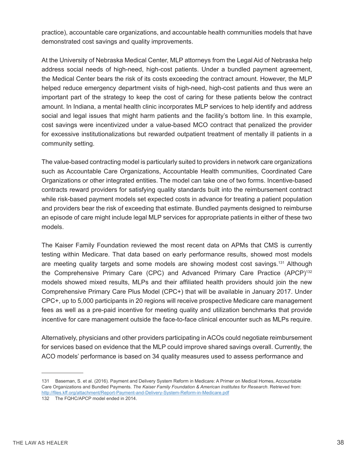practice), accountable care organizations, and accountable health communities models that have demonstrated cost savings and quality improvements.

At the University of Nebraska Medical Center, MLP attorneys from the Legal Aid of Nebraska help address social needs of high-need, high-cost patients. Under a bundled payment agreement, the Medical Center bears the risk of its costs exceeding the contract amount. However, the MLP helped reduce emergency department visits of high-need, high-cost patients and thus were an important part of the strategy to keep the cost of caring for these patients below the contract amount. In Indiana, a mental health clinic incorporates MLP services to help identify and address social and legal issues that might harm patients and the facility's bottom line. In this example, cost savings were incentivized under a value-based MCO contract that penalized the provider for excessive institutionalizations but rewarded outpatient treatment of mentally ill patients in a community setting.

The value-based contracting model is particularly suited to providers in network care organizations such as Accountable Care Organizations, Accountable Health communities, Coordinated Care Organizations or other integrated entities. The model can take one of two forms. Incentive-based contracts reward providers for satisfying quality standards built into the reimbursement contract while risk-based payment models set expected costs in advance for treating a patient population and providers bear the risk of exceeding that estimate. Bundled payments designed to reimburse an episode of care might include legal MLP services for appropriate patients in either of these two models.

The Kaiser Family Foundation reviewed the most recent data on APMs that CMS is currently testing within Medicare. That data based on early performance results, showed most models are meeting quality targets and some models are showing modest cost savings.131 Although the Comprehensive Primary Care (CPC) and Advanced Primary Care Practice (APCP)<sup>132</sup> models showed mixed results, MLPs and their affiliated health providers should join the new Comprehensive Primary Care Plus Model (CPC+) that will be available in January 2017. Under CPC+, up to 5,000 participants in 20 regions will receive prospective Medicare care management fees as well as a pre-paid incentive for meeting quality and utilization benchmarks that provide incentive for care management outside the face-to-face clinical encounter such as MLPs require.

Alternatively, physicians and other providers participating in ACOs could negotiate reimbursement for services based on evidence that the MLP could improve shared savings overall. Currently, the ACO models' performance is based on 34 quality measures used to assess performance and

<sup>131</sup> Baseman, S. et al. (2016). Payment and Delivery System Reform in Medicare: A Primer on Medical Homes, Accountable Care Organizations and Bundled Payments. *The Kaiser Family Foundation & American Institutes for Research*. Retrieved from: http://files.kff.org/attachment/Report-Payment-and-Delivery-System-Reform-in-Medicare.pdf

<sup>132</sup> The FQHC/APCP model ended in 2014.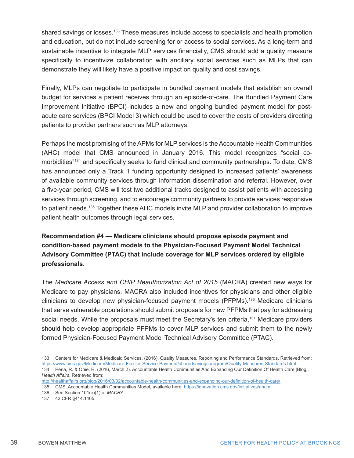shared savings or losses.<sup>133</sup> These measures include access to specialists and health promotion and education, but do not include screening for or access to social services. As a long-term and sustainable incentive to integrate MLP services financially, CMS should add a quality measure specifically to incentivize collaboration with ancillary social services such as MLPs that can demonstrate they will likely have a positive impact on quality and cost savings.

Finally, MLPs can negotiate to participate in bundled payment models that establish an overall budget for services a patient receives through an episode-of-care. The Bundled Payment Care Improvement Initiative (BPCI) includes a new and ongoing bundled payment model for postacute care services (BPCI Model 3) which could be used to cover the costs of providers directing patients to provider partners such as MLP attorneys.

Perhaps the most promising of the APMs for MLP services is the Accountable Health Communities (AHC) model that CMS announced in January 2016. This model recognizes "social comorbidities"<sup>134</sup> and specifically seeks to fund clinical and community partnerships. To date, CMS has announced only a Track 1 funding opportunity designed to increased patients' awareness of available community services through information dissemination and referral. However, over a five-year period, CMS will test two additional tracks designed to assist patients with accessing services through screening, and to encourage community partners to provide services responsive to patient needs.135 Together these AHC models invite MLP and provider collaboration to improve patient health outcomes through legal services.

**Recommendation #4 — Medicare clinicians should propose episode payment and condition-based payment models to the Physician-Focused Payment Model Technical Advisory Committee (PTAC) that include coverage for MLP services ordered by eligible professionals.**

The *Medicare Access and CHIP Reauthorization Act of 2015* (MACRA) created new ways for Medicare to pay physicians. MACRA also included incentives for physicians and other eligible clinicians to develop new physician-focused payment models (PFPMs).<sup>136</sup> Medicare clinicians that serve vulnerable populations should submit proposals for new PFPMs that pay for addressing social needs. While the proposals must meet the Secretary's ten criteria,<sup>137</sup> Medicare providers should help develop appropriate PFPMs to cover MLP services and submit them to the newly formed Physician-Focused Payment Model Technical Advisory Committee (PTAC).

135 CMS, Accountable Health Communities Model, available here: https://innovation.cms.gov/initiatives/ahcm 136 See Section 101(e)(1) of *MACRA*.

<sup>133</sup> Centers for Medicare & Medicaid Services. (2016). Quality Measures, Reporting and Performance Standards. Retrieved from: https://www.cms.gov/Medicare/Medicare-Fee-for-Service-Payment/sharedsavingsprogram/Quality-Measures-Standards.html 134 Perla, R. & Onie, R. (2016, March 2). Accountable Health Communities And Expanding Our Definition Of Health Care [Blog]. *Health Affairs*. Retrieved from:

http://healthaffairs.org/blog/2016/03/02/accountable-health-communities-and-expanding-our-definition-of-health-care/

<sup>137 42</sup> CFR §414.1465.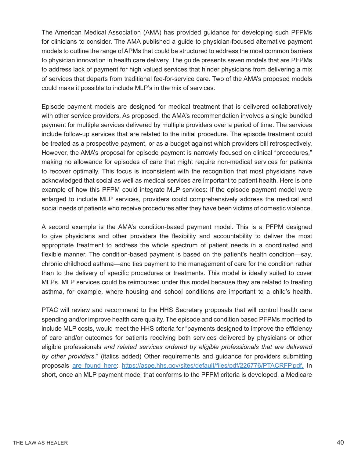The American Medical Association (AMA) has provided guidance for developing such PFPMs for clinicians to consider. The AMA published a guide to physician-focused alternative payment models to outline the range of APMs that could be structured to address the most common barriers to physician innovation in health care delivery. The guide presents seven models that are PFPMs to address lack of payment for high valued services that hinder physicians from delivering a mix of services that departs from traditional fee-for-service care. Two of the AMA's proposed models could make it possible to include MLP's in the mix of services.

Episode payment models are designed for medical treatment that is delivered collaboratively with other service providers. As proposed, the AMA's recommendation involves a single bundled payment for multiple services delivered by multiple providers over a period of time. The services include follow-up services that are related to the initial procedure. The episode treatment could be treated as a prospective payment, or as a budget against which providers bill retrospectively. However, the AMA's proposal for episode payment is narrowly focused on clinical "procedures," making no allowance for episodes of care that might require non-medical services for patients to recover optimally. This focus is inconsistent with the recognition that most physicians have acknowledged that social as well as medical services are important to patient health. Here is one example of how this PFPM could integrate MLP services: If the episode payment model were enlarged to include MLP services, providers could comprehensively address the medical and social needs of patients who receive procedures after they have been victims of domestic violence.

A second example is the AMA's condition-based payment model. This is a PFPM designed to give physicians and other providers the flexibility and accountability to deliver the most appropriate treatment to address the whole spectrum of patient needs in a coordinated and flexible manner. The condition-based payment is based on the patient's health condition—say, chronic childhood asthma—and ties payment to the management of care for the condition rather than to the delivery of specific procedures or treatments. This model is ideally suited to cover MLPs. MLP services could be reimbursed under this model because they are related to treating asthma, for example, where housing and school conditions are important to a child's health.

PTAC will review and recommend to the HHS Secretary proposals that will control health care spending and/or improve health care quality. The episode and condition based PFPMs modified to include MLP costs, would meet the HHS criteria for "payments designed to improve the efficiency of care and/or outcomes for patients receiving both services delivered by physicians or other eligible professionals *and related services ordered by eligible professionals that are delivered by other providers.*" (italics added) Other requirements and guidance for providers submitting proposals are found here: https://aspe.hhs.gov/sites/default/files/pdf/226776/PTACRFP.pdf. In short, once an MLP payment model that conforms to the PFPM criteria is developed, a Medicare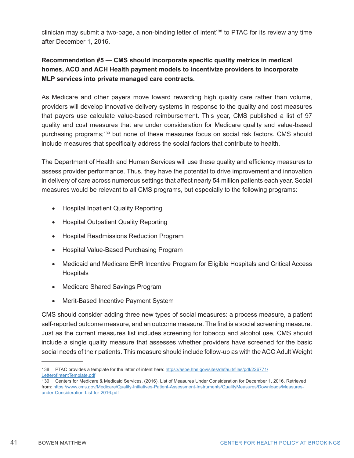clinician may submit a two-page, a non-binding letter of intent138 to PTAC for its review any time after December 1, 2016.

#### **Recommendation #5 — CMS should incorporate specific quality metrics in medical homes, ACO and ACH Health payment models to incentivize providers to incorporate MLP services into private managed care contracts.**

As Medicare and other payers move toward rewarding high quality care rather than volume, providers will develop innovative delivery systems in response to the quality and cost measures that payers use calculate value-based reimbursement. This year, CMS published a list of 97 quality and cost measures that are under consideration for Medicare quality and value-based purchasing programs;139 but none of these measures focus on social risk factors. CMS should include measures that specifically address the social factors that contribute to health.

The Department of Health and Human Services will use these quality and efficiency measures to assess provider performance. Thus, they have the potential to drive improvement and innovation in delivery of care across numerous settings that affect nearly 54 million patients each year. Social measures would be relevant to all CMS programs, but especially to the following programs:

- Hospital Inpatient Quality Reporting
- Hospital Outpatient Quality Reporting
- • Hospital Readmissions Reduction Program
- • Hospital Value-Based Purchasing Program
- Medicaid and Medicare EHR Incentive Program for Eligible Hospitals and Critical Access **Hospitals**
- Medicare Shared Savings Program
- Merit-Based Incentive Payment System

CMS should consider adding three new types of social measures: a process measure, a patient self-reported outcome measure, and an outcome measure. The first is a social screening measure. Just as the current measures list includes screening for tobacco and alcohol use, CMS should include a single quality measure that assesses whether providers have screened for the basic social needs of their patients. This measure should include follow-up as with the ACO Adult Weight

<sup>138</sup> PTAC provides a template for the letter of intent here: https://aspe.hhs.gov/sites/default/files/pdf/226771/ LetterofIntentTemplate.pdf

<sup>139</sup> Centers for Medicare & Medicaid Services. (2016). List of Measures Under Consideration for December 1, 2016. Retrieved from: https://www.cms.gov/Medicare/Quality-Initiatives-Patient-Assessment-Instruments/QualityMeasures/Downloads/Measuresunder-Consideration-List-for-2016.pdf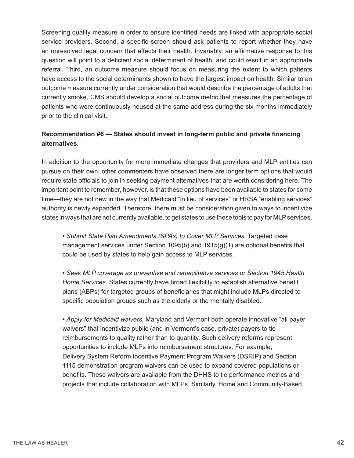Screening quality measure in order to ensure identified needs are linked with appropriate social service providers. Second, a specific screen should ask patients to report whether they have an unresolved legal concern that affects their health. Invariably, an affirmative response to this question will point to a deficient social determinant of health, and could result in an appropriate referral. Third, an outcome measure should focus on measuring the extent to which patients have access to the social determinants shown to have the largest impact on health. Similar to an outcome measure currently under consideration that would describe the percentage of adults that currently smoke, CMS should develop a social outcome metric that measures the percentage of patients who were continuously housed at the same address during the six months immediately prior to the clinical visit.

#### **Recommendation #6 — States should invest in long-term public and private financing alternatives.**

In addition to the opportunity for more immediate changes that providers and MLP entities can pursue on their own, other commenters have observed there are longer term options that would require state officials to join in seeking payment alternatives that are worth considering here. The important point to remember, however, is that these options have been available to states for some time—they are not new in the way that Medicaid "in lieu of services" or HRSA "enabling services" authority is newly expanded. Therefore, there must be consideration given to ways to incentivize states in ways that are not currently available, to get states to use these tools to pay for MLP services.

**•** *Submit State Plan Amendments (SPAs) to Cover MLP Services.* Targeted case management services under Section 1095(b) and 1915(g)(1) are optional benefits that could be used by states to help gain access to MLP services.

**•** *Seek MLP coverage as preventive and rehabilitative services or Section 1945 Health Home Services.* States currently have broad flexibility to establish alternative benefit plans (ABPs) for targeted groups of beneficiaries that might include MLPs directed to specific population groups such as the elderly or the mentally disabled.

**•** *Apply for Medicaid waivers.* Maryland and Vermont both operate innovative "all payer waivers" that incentivize public (and in Vermont's case, private) payers to tie reimbursements to quality rather than to quantity. Such delivery reforms represent opportunities to include MLPs into reimbursement structures. For example, Delivery System Reform Incentive Payment Program Waivers (DSRIP) and Section 1115 demonstration program waivers can be used to expand covered populations or benefits. These waivers are available from the DHHS to tie performance metrics and projects that include collaboration with MLPs. Similarly, Home and Community-Based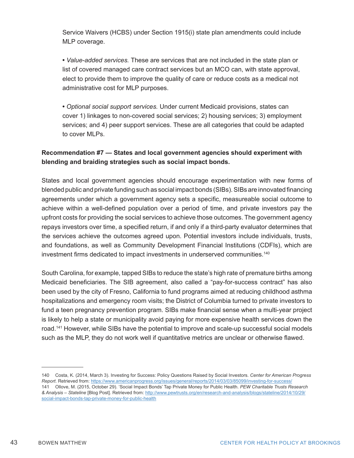Service Waivers (HCBS) under Section 1915(i) state plan amendments could include MLP coverage.

**•** *Value-added services.* These are services that are not included in the state plan or list of covered managed care contract services but an MCO can, with state approval, elect to provide them to improve the quality of care or reduce costs as a medical not administrative cost for MLP purposes.

**•** *Optional social support services.* Under current Medicaid provisions, states can cover 1) linkages to non-covered social services; 2) housing services; 3) employment services; and 4) peer support services. These are all categories that could be adapted to cover MLPs.

#### **Recommendation #7 — States and local government agencies should experiment with blending and braiding strategies such as social impact bonds.**

States and local government agencies should encourage experimentation with new forms of blended public and private funding such as social impact bonds (SIBs). SIBs are innovated financing agreements under which a government agency sets a specific, measureable social outcome to achieve within a well-defined population over a period of time, and private investors pay the upfront costs for providing the social services to achieve those outcomes. The government agency repays investors over time, a specified return, if and only if a third-party evaluator determines that the services achieve the outcomes agreed upon. Potential investors include individuals, trusts, and foundations, as well as Community Development Financial Institutions (CDFIs), which are investment firms dedicated to impact investments in underserved communities.<sup>140</sup>

South Carolina, for example, tapped SIBs to reduce the state's high rate of premature births among Medicaid beneficiaries. The SIB agreement, also called a "pay-for-success contract" has also been used by the city of Fresno, California to fund programs aimed at reducing childhood asthma hospitalizations and emergency room visits; the District of Columbia turned to private investors to fund a teen pregnancy prevention program. SIBs make financial sense when a multi-year project is likely to help a state or municipality avoid paying for more expensive health services down the road.141 However, while SIBs have the potential to improve and scale-up successful social models such as the MLP, they do not work well if quantitative metrics are unclear or otherwise flawed.

<sup>140</sup> Costa, K. (2014, March 3). Investing for Success: Policy Questions Raised by Social Investors. *Center for American Progress Report*. Retrieved from: https://www.americanprogress.org/issues/general/reports/2014/03/03/85099/investing-for-success/ 141 Ollove, M. (2015, October 29). 'Social Impact Bonds' Tap Private Money for Public Health. *PEW Charitable Trusts Research & Analysis – Stateline* [Blog Post]. Retrieved from: http://www.pewtrusts.org/en/research-and-analysis/blogs/stateline/2014/10/29/ social-impact-bonds-tap-private-money-for-public-health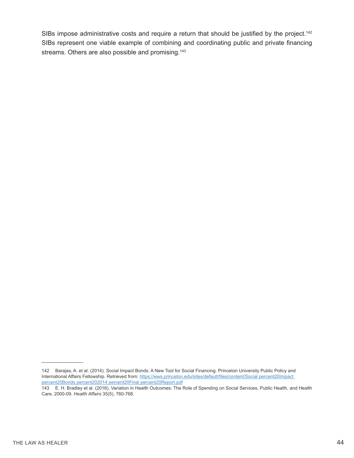SIBs impose administrative costs and require a return that should be justified by the project.<sup>142</sup> SIBs represent one viable example of combining and coordinating public and private financing streams. Others are also possible and promising.<sup>143</sup>

<sup>142</sup> Barajas, A. et al. (2014). Social Impact Bonds: A New Tool for Social Financing. Princeton University Public Policy and International Affairs Fellowship. Retrieved from: https://wws.princeton.edu/sites/default/files/content/Social percent20Impact percent20Bonds percent202014 percent20Final percent20Report.pdf

<sup>143</sup> E. H. Bradley et al. (2016). Variation in Health Outcomes: The Role of Spending on Social Services, Public Health, and Health Care, 2000-09. *Health Affairs* 35(5), 760-768.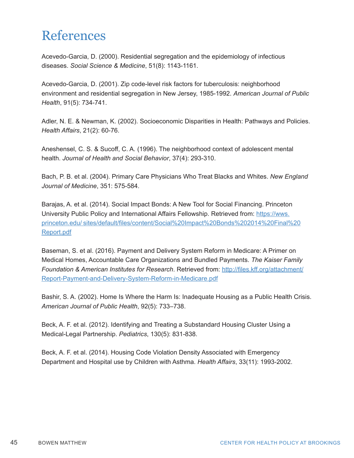### References

Acevedo-Garcia, D. (2000). Residential segregation and the epidemiology of infectious diseases. *Social Science & Medicine*, 51(8): 1143-1161.

Acevedo-Garcia, D. (2001). Zip code-level risk factors for tuberculosis: neighborhood environment and residential segregation in New Jersey, 1985-1992. *American Journal of Public Health*, 91(5): 734-741.

Adler, N. E. & Newman, K. (2002). Socioeconomic Disparities in Health: Pathways and Policies. *Health Affairs*, 21(2): 60-76.

Aneshensel, C. S. & Sucoff, C. A. (1996). The neighborhood context of adolescent mental health. *Journal of Health and Social Behavior*, 37(4): 293-310.

Bach, P. B. et al. (2004). Primary Care Physicians Who Treat Blacks and Whites. *New England Journal of Medicine*, 351: 575-584.

Barajas, A. et al. (2014). Social Impact Bonds: A New Tool for Social Financing. Princeton University Public Policy and International Affairs Fellowship. Retrieved from: https://wws. princeton.edu/ sites/default/files/content/Social%20Impact%20Bonds%202014%20Final%20 Report.pdf

Baseman, S. et al. (2016). Payment and Delivery System Reform in Medicare: A Primer on Medical Homes, Accountable Care Organizations and Bundled Payments. *The Kaiser Family Foundation & American Institutes for Research*. Retrieved from: http://files.kff.org/attachment/ Report-Payment-and-Delivery-System-Reform-in-Medicare.pdf

Bashir, S. A. (2002). Home Is Where the Harm Is: Inadequate Housing as a Public Health Crisis. *American Journal of Public Health*, 92(5): 733–738.

Beck, A. F. et al. (2012). Identifying and Treating a Substandard Housing Cluster Using a Medical-Legal Partnership. *Pediatrics*, 130(5): 831-838.

Beck, A. F. et al. (2014). Housing Code Violation Density Associated with Emergency Department and Hospital use by Children with Asthma. *Health Affairs*, 33(11): 1993-2002.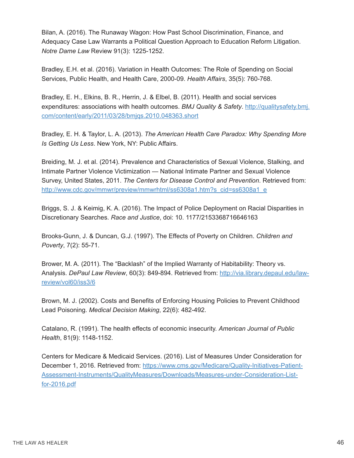Bilan, A. (2016). The Runaway Wagon: How Past School Discrimination, Finance, and Adequacy Case Law Warrants a Political Question Approach to Education Reform Litigation. *Notre Dame Law* Review 91(3): 1225-1252.

Bradley, E.H. et al. (2016). Variation in Health Outcomes: The Role of Spending on Social Services, Public Health, and Health Care, 2000-09. *Health Affairs*, 35(5): 760-768.

Bradley, E. H., Elkins, B. R., Herrin, J. & Elbel, B. (2011). Health and social services expenditures: associations with health outcomes. *BMJ Quality & Safety*. http://qualitysafety.bmj. com/content/early/2011/03/28/bmjqs.2010.048363.short

Bradley, E. H. & Taylor, L. A. (2013). *The American Health Care Paradox: Why Spending More Is Getting Us Less*. New York, NY: Public Affairs.

Breiding, M. J. et al. (2014). Prevalence and Characteristics of Sexual Violence, Stalking, and Intimate Partner Violence Victimization — National Intimate Partner and Sexual Violence Survey, United States, 2011. *The Centers for Disease Control and Prevention*. Retrieved from: http://www.cdc.gov/mmwr/preview/mmwrhtml/ss6308a1.htm?s\_cid=ss6308a1\_e

Briggs, S. J. & Keimig, K. A. (2016). The Impact of Police Deployment on Racial Disparities in Discretionary Searches. *Race and Justice*, doi: 10. 1177/2153368716646163

Brooks-Gunn, J. & Duncan, G.J. (1997). The Effects of Poverty on Children. *Children and Poverty*, 7(2): 55-71.

Brower, M. A. (2011). The "Backlash" of the Implied Warranty of Habitability: Theory vs. Analysis. *DePaul Law Review*, 60(3): 849-894. Retrieved from: http://via.library.depaul.edu/lawreview/vol60/iss3/6

Brown, M. J. (2002). Costs and Benefits of Enforcing Housing Policies to Prevent Childhood Lead Poisoning. *Medical Decision Making*, 22(6): 482-492.

Catalano, R. (1991). The health effects of economic insecurity. *American Journal of Public Health*, 81(9): 1148-1152.

Centers for Medicare & Medicaid Services. (2016). List of Measures Under Consideration for December 1, 2016. Retrieved from: https://www.cms.gov/Medicare/Quality-Initiatives-Patient-Assessment-Instruments/QualityMeasures/Downloads/Measures-under-Consideration-Listfor-2016.pdf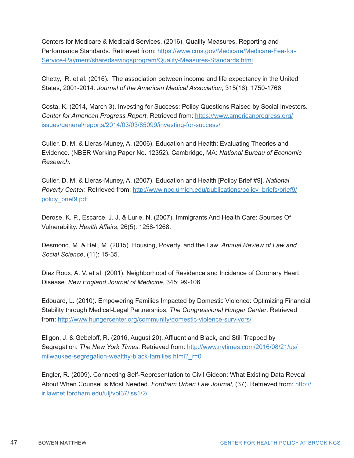Centers for Medicare & Medicaid Services. (2016). Quality Measures, Reporting and Performance Standards. Retrieved from: https://www.cms.gov/Medicare/Medicare-Fee-for-Service-Payment/sharedsavingsprogram/Quality-Measures-Standards.html

Chetty, R. et al. (2016). The association between income and life expectancy in the United States, 2001-2014. *Journal of the American Medical Association*, 315(16): 1750-1766.

Costa, K. (2014, March 3). Investing for Success: Policy Questions Raised by Social Investors. *Center for American Progress Report*. Retrieved from: https://www.americanprogress.org/ issues/general/reports/2014/03/03/85099/investing-for-success/

Cutler, D. M. & Lleras-Muney, A. (2006). Education and Health: Evaluating Theories and Evidence. (NBER Working Paper No. 12352). Cambridge, MA: *National Bureau of Economic Research.*

Cutler, D. M. & Lleras-Muney, A. (2007). Education and Health [Policy Brief #9]. *National Poverty Center*. Retrieved from: http://www.npc.umich.edu/publications/policy\_briefs/brief9/ policy\_brief9.pdf

Derose, K. P., Escarce, J. J. & Lurie, N. (2007). Immigrants And Health Care: Sources Of Vulnerability. *Health Affairs*, 26(5): 1258-1268.

Desmond, M. & Bell, M. (2015). Housing, Poverty, and the Law. *Annual Review of Law and Social Science*, (11): 15-35.

Diez Roux, A. V. et al. (2001). Neighborhood of Residence and Incidence of Coronary Heart Disease. *New England Journal of Medicine*, 345: 99-106.

Edouard, L. (2010). Empowering Families Impacted by Domestic Violence: Optimizing Financial Stability through Medical-Legal Partnerships. *The Congressional Hunger Center*. Retrieved from: http://www.hungercenter.org/community/domestic-violence-survivors/

Eligon, J. & Gebeloff, R. (2016, August 20). Affluent and Black, and Still Trapped by Segregation. *The New York Times*. Retrieved from: http://www.nytimes.com/2016/08/21/us/ milwaukee-segregation-wealthy-black-families.html? r=0

Engler, R. (2009). Connecting Self-Representation to Civil Gideon: What Existing Data Reveal About When Counsel is Most Needed. *Fordham Urban Law Journal*, (37). Retrieved from: http:// ir.lawnet.fordham.edu/ulj/vol37/iss1/2/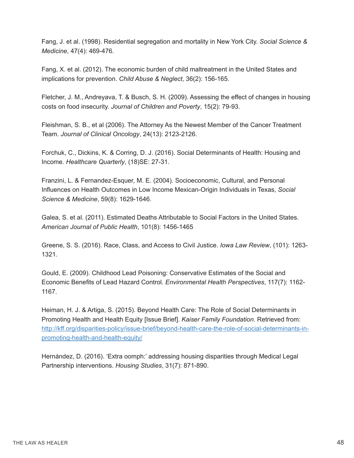Fang, J. et al. (1998). Residential segregation and mortality in New York City. *Social Science & Medicine*, 47(4): 469-476.

Fang, X. et al. (2012). The economic burden of child maltreatment in the United States and implications for prevention. *Child Abuse & Neglect*, 36(2): 156-165.

Fletcher, J. M., Andreyava, T. & Busch, S. H. (2009). Assessing the effect of changes in housing costs on food insecurity. *Journal of Children and Poverty*, 15(2): 79-93.

Fleishman, S. B., et al (2006). The Attorney As the Newest Member of the Cancer Treatment Team. *Journal of Clinical Oncology*, 24(13): 2123-2126.

Forchuk, C., Dickins, K. & Corring, D. J. (2016). Social Determinants of Health: Housing and Income. *Healthcare Quarterly*, (18)SE: 27-31.

Franzini, L. & Fernandez-Esquer, M. E. (2004). Socioeconomic, Cultural, and Personal Influences on Health Outcomes in Low Income Mexican-Origin Individuals in Texas, *Social Science & Medicine*, 59(8): 1629-1646.

Galea, S. et al. (2011). Estimated Deaths Attributable to Social Factors in the United States. *American Journal of Public Health*, 101(8): 1456-1465

Greene, S. S. (2016). Race, Class, and Access to Civil Justice. *Iowa Law Review*, (101): 1263- 1321.

Gould, E. (2009). Childhood Lead Poisoning: Conservative Estimates of the Social and Economic Benefits of Lead Hazard Control. *Environmental Health Perspectives*, 117(7): 1162- 1167.

Heiman, H. J. & Artiga, S. (2015). Beyond Health Care: The Role of Social Determinants in Promoting Health and Health Equity [Issue Brief]. *Kaiser Family Foundation*. Retrieved from: http://kff.org/disparities-policy/issue-brief/beyond-health-care-the-role-of-social-determinants-inpromoting-health-and-health-equity/

Hernández, D. (2016). 'Extra oomph:' addressing housing disparities through Medical Legal Partnership interventions. *Housing Studies*, 31(7): 871-890.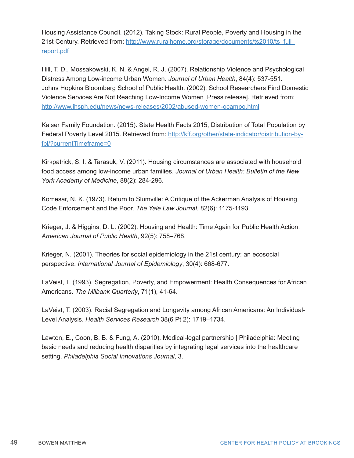Housing Assistance Council. (2012). Taking Stock: Rural People, Poverty and Housing in the 21st Century. Retrieved from: http://www.ruralhome.org/storage/documents/ts2010/ts\_full report.pdf

Hill, T. D., Mossakowski, K. N. & Angel, R. J. (2007). Relationship Violence and Psychological Distress Among Low-income Urban Women. *Journal of Urban Health*, 84(4): 537-551. Johns Hopkins Bloomberg School of Public Health. (2002). School Researchers Find Domestic Violence Services Are Not Reaching Low-Income Women [Press release]. Retrieved from: http://www.jhsph.edu/news/news-releases/2002/abused-women-ocampo.html

Kaiser Family Foundation. (2015). State Health Facts 2015, Distribution of Total Population by Federal Poverty Level 2015. Retrieved from: http://kff.org/other/state-indicator/distribution-byfpl/?currentTimeframe=0

Kirkpatrick, S. I. & Tarasuk, V. (2011). Housing circumstances are associated with household food access among low-income urban families. *Journal of Urban Health: Bulletin of the New York Academy of Medicine*, 88(2): 284-296.

Komesar, N. K. (1973). Return to Slumville: A Critique of the Ackerman Analysis of Housing Code Enforcement and the Poor. *The Yale Law Journal*, 82(6): 1175-1193.

Krieger, J. & Higgins, D. L. (2002). Housing and Health: Time Again for Public Health Action. *American Journal of Public Health*, 92(5): 758–768.

Krieger, N. (2001). Theories for social epidemiology in the 21st century: an ecosocial perspective. *International Journal of Epidemiology*, 30(4): 668-677.

LaVeist, T. (1993). Segregation, Poverty, and Empowerment: Health Consequences for African Americans. *The Milbank Quarterly*, 71(1), 41-64.

LaVeist, T. (2003). Racial Segregation and Longevity among African Americans: An Individual-Level Analysis. *Health Services Research* 38(6 Pt 2): 1719–1734.

Lawton, E., Coon, B. B. & Fung, A. (2010). Medical-legal partnership | Philadelphia: Meeting basic needs and reducing health disparities by integrating legal services into the healthcare setting. *Philadelphia Social Innovations Journal*, 3.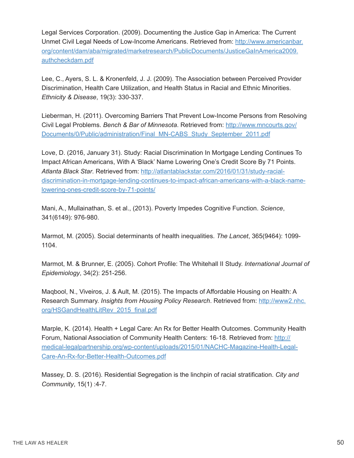Legal Services Corporation. (2009). Documenting the Justice Gap in America: The Current Unmet Civil Legal Needs of Low-Income Americans. Retrieved from: http://www.americanbar. org/content/dam/aba/migrated/marketresearch/PublicDocuments/JusticeGaInAmerica2009. authcheckdam.pdf

Lee, C., Ayers, S. L. & Kronenfeld, J. J. (2009). The Association between Perceived Provider Discrimination, Health Care Utilization, and Health Status in Racial and Ethnic Minorities. *Ethnicity & Disease*, 19(3): 330-337.

Lieberman, H. (2011). Overcoming Barriers That Prevent Low-Income Persons from Resolving Civil Legal Problems. *Bench & Bar of Minnesota*. Retrieved from: http://www.mncourts.gov/ Documents/0/Public/administration/Final\_MN-CABS\_Study\_September\_2011.pdf

Love, D. (2016, January 31). Study: Racial Discrimination In Mortgage Lending Continues To Impact African Americans, With A 'Black' Name Lowering One's Credit Score By 71 Points. *Atlanta Black Star*. Retrieved from: http://atlantablackstar.com/2016/01/31/study-racialdiscrimination-in-mortgage-lending-continues-to-impact-african-americans-with-a-black-namelowering-ones-credit-score-by-71-points/

Mani, A., Mullainathan, S. et al., (2013). Poverty Impedes Cognitive Function. *Science*, 341(6149): 976-980.

Marmot, M. (2005). Social determinants of health inequalities. *The Lancet*, 365(9464): 1099- 1104.

Marmot, M. & Brunner, E. (2005). Cohort Profile: The Whitehall II Study. *International Journal of Epidemiology*, 34(2): 251-256.

Maqbool, N., Viveiros, J. & Ault, M. (2015). The Impacts of Affordable Housing on Health: A Research Summary. *Insights from Housing Policy Research*. Retrieved from: http://www2.nhc. org/HSGandHealthLitRev\_2015\_final.pdf

Marple, K. (2014). Health + Legal Care: An Rx for Better Health Outcomes. Community Health Forum, National Association of Community Health Centers: 16-18. Retrieved from: http:// medical-legalpartnership.org/wp-content/uploads/2015/01/NACHC-Magazine-Health-Legal-Care-An-Rx-for-Better-Health-Outcomes.pdf

Massey, D. S. (2016). Residential Segregation is the linchpin of racial stratification. *City and Community*, 15(1) :4-7.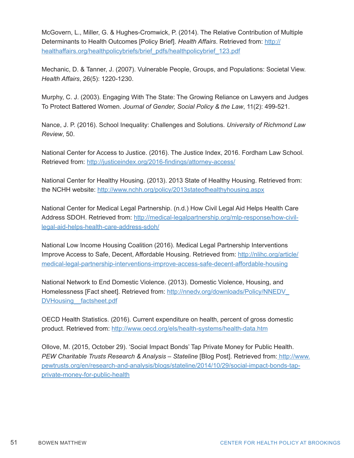McGovern, L., Miller, G. & Hughes-Cromwick, P. (2014). The Relative Contribution of Multiple Determinants to Health Outcomes [Policy Brief]. *Health Affairs*. Retrieved from: http:// healthaffairs.org/healthpolicybriefs/brief\_pdfs/healthpolicybrief\_123.pdf

Mechanic, D. & Tanner, J. (2007). Vulnerable People, Groups, and Populations: Societal View. *Health Affairs*, 26(5): 1220-1230.

Murphy, C. J. (2003). Engaging With The State: The Growing Reliance on Lawyers and Judges To Protect Battered Women. *Journal of Gender, Social Policy & the Law*, 11(2): 499-521.

Nance, J. P. (2016). School Inequality: Challenges and Solutions. *University of Richmond Law Review*, 50.

National Center for Access to Justice. (2016). The Justice Index, 2016. Fordham Law School. Retrieved from: http://justiceindex.org/2016-findings/attorney-access/

National Center for Healthy Housing. (2013). 2013 State of Healthy Housing. Retrieved from: the NCHH website: http://www.nchh.org/policy/2013stateofhealthyhousing.aspx

National Center for Medical Legal Partnership. (n.d.) How Civil Legal Aid Helps Health Care Address SDOH. Retrieved from: http://medical-legalpartnership.org/mlp-response/how-civillegal-aid-helps-health-care-address-sdoh/

National Low Income Housing Coalition (2016). Medical Legal Partnership Interventions Improve Access to Safe, Decent, Affordable Housing. Retrieved from: http://nlihc.org/article/ medical-legal-partnership-interventions-improve-access-safe-decent-affordable-housing

National Network to End Domestic Violence. (2013). Domestic Violence, Housing, and Homelessness [Fact sheet]. Retrieved from: http://nnedv.org/downloads/Policy/NNEDV\_ DVHousing factsheet.pdf

OECD Health Statistics. (2016). Current expenditure on health, percent of gross domestic product. Retrieved from: http://www.oecd.org/els/health-systems/health-data.htm

Ollove, M. (2015, October 29). 'Social Impact Bonds' Tap Private Money for Public Health. *PEW Charitable Trusts Research & Analysis – Stateline* [Blog Post]. Retrieved from: http://www. pewtrusts.org/en/research-and-analysis/blogs/stateline/2014/10/29/social-impact-bonds-tapprivate-money-for-public-health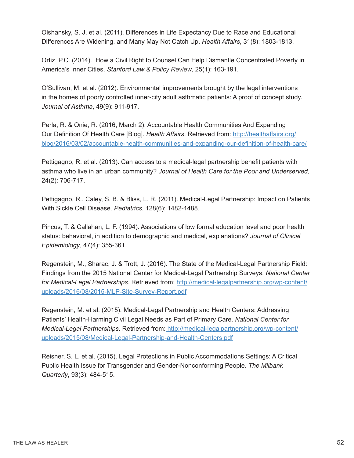Olshansky, S. J. et al. (2011). Differences in Life Expectancy Due to Race and Educational Differences Are Widening, and Many May Not Catch Up. *Health Affairs*, 31(8): 1803-1813.

Ortiz, P.C. (2014). How a Civil Right to Counsel Can Help Dismantle Concentrated Poverty in America's Inner Cities. *Stanford Law & Policy Review*, 25(1): 163-191.

O'Sullivan, M. et al. (2012). Environmental improvements brought by the legal interventions in the homes of poorly controlled inner-city adult asthmatic patients: A proof of concept study. *Journal of Asthma*, 49(9): 911-917.

Perla, R. & Onie, R. (2016, March 2). Accountable Health Communities And Expanding Our Definition Of Health Care [Blog]. *Health Affairs*. Retrieved from: http://healthaffairs.org/ blog/2016/03/02/accountable-health-communities-and-expanding-our-definition-of-health-care/

Pettigagno, R. et al. (2013). Can access to a medical-legal partnership benefit patients with asthma who live in an urban community? *Journal of Health Care for the Poor and Underserved*, 24(2): 706-717.

Pettigagno, R., Caley, S. B. & Bliss, L. R. (2011). Medical-Legal Partnership: Impact on Patients With Sickle Cell Disease. *Pediatrics*, 128(6): 1482-1488.

Pincus, T. & Callahan, L. F. (1994). Associations of low formal education level and poor health status: behavioral, in addition to demographic and medical, explanations? *Journal of Clinical Epidemiology*, 47(4): 355-361.

Regenstein, M., Sharac, J. & Trott, J. (2016). The State of the Medical-Legal Partnership Field: Findings from the 2015 National Center for Medical-Legal Partnership Surveys. *National Center for Medical-Legal Partnerships*. Retrieved from: http://medical-legalpartnership.org/wp-content/ uploads/2016/08/2015-MLP-Site-Survey-Report.pdf

Regenstein, M. et al. (2015). Medical-Legal Partnership and Health Centers: Addressing Patients' Health-Harming Civil Legal Needs as Part of Primary Care. *National Center for Medical-Legal Partnerships*. Retrieved from: http://medical-legalpartnership.org/wp-content/ uploads/2015/08/Medical-Legal-Partnership-and-Health-Centers.pdf

Reisner, S. L. et al. (2015). Legal Protections in Public Accommodations Settings: A Critical Public Health Issue for Transgender and Gender-Nonconforming People. *The Milbank Quarterly*, 93(3): 484-515.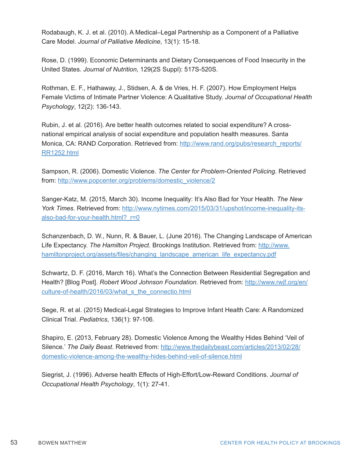Rodabaugh, K. J. et al. (2010). A Medical–Legal Partnership as a Component of a Palliative Care Model. *Journal of Palliative Medicine*, 13(1): 15-18.

Rose, D. (1999). Economic Determinants and Dietary Consequences of Food Insecurity in the United States. *Journal of Nutrition*, 129(2S Suppl): 517S-520S.

Rothman, E. F., Hathaway, J., Stidsen, A. & de Vries, H. F. (2007). How Employment Helps Female Victims of Intimate Partner Violence: A Qualitative Study. *Journal of Occupational Health Psychology*, 12(2): 136-143.

Rubin, J. et al. (2016). Are better health outcomes related to social expenditure? A crossnational empirical analysis of social expenditure and population health measures. Santa Monica, CA: RAND Corporation. Retrieved from: http://www.rand.org/pubs/research\_reports/ RR1252.html

Sampson, R. (2006). Domestic Violence. *The Center for Problem-Oriented Policing*. Retrieved from: http://www.popcenter.org/problems/domestic\_violence/2

Sanger-Katz, M. (2015, March 30). Income Inequality: It's Also Bad for Your Health. *The New York Times*. Retrieved from: http://www.nytimes.com/2015/03/31/upshot/income-inequality-itsalso-bad-for-your-health.html? r=0

Schanzenbach, D. W., Nunn, R. & Bauer, L. (June 2016). The Changing Landscape of American Life Expectancy. *The Hamilton Project*. Brookings Institution. Retrieved from: http://www. hamiltonproject.org/assets/files/changing\_landscape\_american\_life\_expectancy.pdf

Schwartz, D. F. (2016, March 16). What's the Connection Between Residential Segregation and Health? [Blog Post]. *Robert Wood Johnson Foundation*. Retrieved from: http://www.rwjf.org/en/ culture-of-health/2016/03/what\_s\_the\_connectio.html

Sege, R. et al. (2015) Medical-Legal Strategies to Improve Infant Health Care: A Randomized Clinical Trial. *Pediatrics*, 136(1): 97-106.

Shapiro, E. (2013, February 28). Domestic Violence Among the Wealthy Hides Behind 'Veil of Silence.' *The Daily Beast*. Retrieved from: http://www.thedailybeast.com/articles/2013/02/28/ domestic-violence-among-the-wealthy-hides-behind-veil-of-silence.html

Siegrist, J. (1996). Adverse health Effects of High-Effort/Low-Reward Conditions. *Journal of Occupational Health Psychology*, 1(1): 27-41.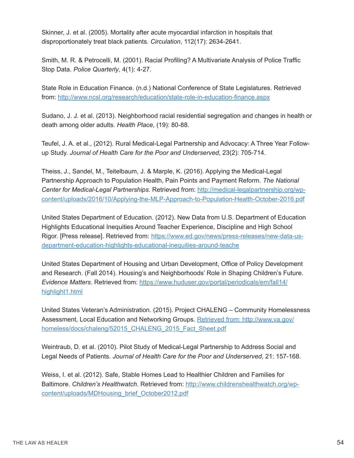Skinner, J. et al. (2005). Mortality after acute myocardial infarction in hospitals that disproportionately treat black patients. *Circulation*, 112(17): 2634-2641.

Smith, M. R. & Petrocelli, M. (2001). Racial Profiling? A Multivariate Analysis of Police Traffic Stop Data. *Police Quarterly*, 4(1): 4-27.

State Role in Education Finance. (n.d.) National Conference of State Legislatures. Retrieved from: http://www.ncsl.org/research/education/state-role-in-education-finance.aspx

Sudano, J. J. et al. (2013). Neighborhood racial residential segregation and changes in health or death among older adults. *Health Place*, (19): 80-88.

Teufel, J. A. et al., (2012). Rural Medical-Legal Partnership and Advocacy: A Three Year Followup Study. *Journal of Health Care for the Poor and Underserved*, 23(2): 705-714.

Theiss, J., Sandel, M., Teitelbaum, J. & Marple, K. (2016). Applying the Medical-Legal Partnership Approach to Population Health, Pain Points and Payment Reform. *The National Center for Medical-Legal Partnerships*. Retrieved from: http://medical-legalpartnership.org/wpcontent/uploads/2016/10/Applying-the-MLP-Approach-to-Population-Health-October-2016.pdf

United States Department of Education. (2012). New Data from U.S. Department of Education Highlights Educational Inequities Around Teacher Experience, Discipline and High School Rigor. [Press release]. Retrieved from: https://www.ed.gov/news/press-releases/new-data-usdepartment-education-highlights-educational-inequities-around-teache

United States Department of Housing and Urban Development, Office of Policy Development and Research. (Fall 2014). Housing's and Neighborhoods' Role in Shaping Children's Future. *Evidence Matters*. Retrieved from: https://www.huduser.gov/portal/periodicals/em/fall14/ highlight1.html

United States Veteran's Administration. (2015). Project CHALENG – Community Homelessness Assessment, Local Education and Networking Groups. Retrieved from: http://www.va.gov/ homeless/docs/chaleng/52015\_CHALENG\_2015\_Fact\_Sheet.pdf

Weintraub, D. et al. (2010). Pilot Study of Medical-Legal Partnership to Address Social and Legal Needs of Patients. *Journal of Health Care for the Poor and Underserved*, 21: 157-168.

Weiss, I. et al. (2012). Safe, Stable Homes Lead to Healthier Children and Families for Baltimore. *Children's Healthwatch*. Retrieved from: http://www.childrenshealthwatch.org/wpcontent/uploads/MDHousing\_brief\_October2012.pdf